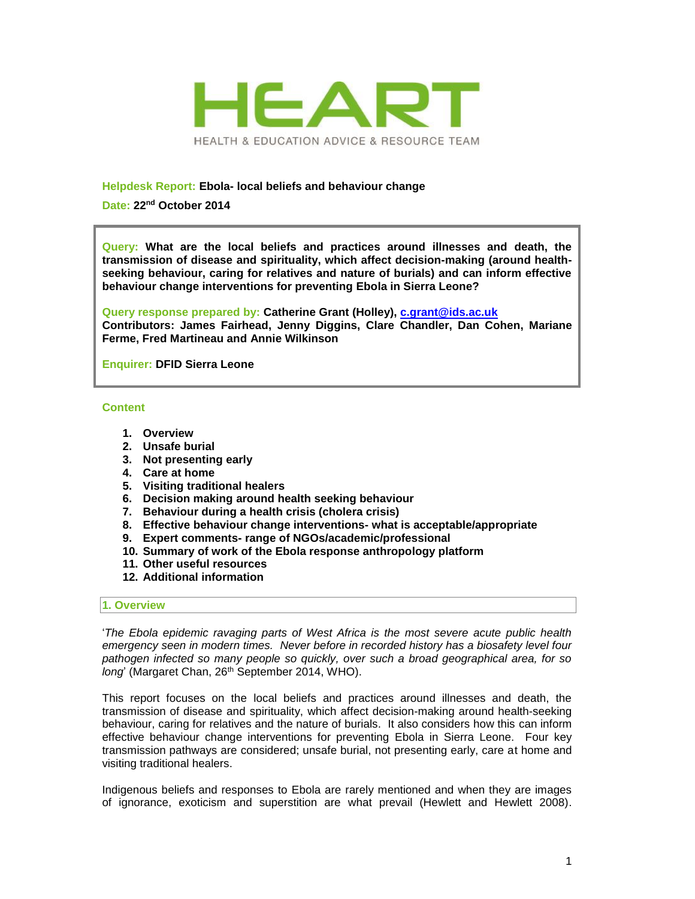

## **Helpdesk Report: Ebola- local beliefs and behaviour change**

**Date: 22nd October 2014**

**Query: What are the local beliefs and practices around illnesses and death, the transmission of disease and spirituality, which affect decision-making (around healthseeking behaviour, caring for relatives and nature of burials) and can inform effective behaviour change interventions for preventing Ebola in Sierra Leone?**

**Query response prepared by: Catherine Grant (Holley), [c.grant@ids.ac.uk](mailto:c.grant@ids.ac.uk) Contributors: James Fairhead, Jenny Diggins, Clare Chandler, Dan Cohen, Mariane Ferme, Fred Martineau and Annie Wilkinson**

**Enquirer: DFID Sierra Leone**

#### **Content**

- **1. Overview**
- **2. Unsafe burial**
- **3. Not presenting early**
- **4. Care at home**
- **5. Visiting traditional healers**
- **6. Decision making around health seeking behaviour**
- **7. Behaviour during a health crisis (cholera crisis)**
- **8. Effective behaviour change interventions- what is acceptable/appropriate**
- **9. Expert comments- range of NGOs/academic/professional**
- **10. Summary of work of the Ebola response anthropology platform**
- **11. Other useful resources**
- **12. Additional information**

#### **1. Overview**

'*The Ebola epidemic ravaging parts of West Africa is the most severe acute public health emergency seen in modern times. Never before in recorded history has a biosafety level four pathogen infected so many people so quickly, over such a broad geographical area, for so*  long<sup>'</sup> (Margaret Chan, 26<sup>th</sup> September 2014, WHO).

This report focuses on the local beliefs and practices around illnesses and death, the transmission of disease and spirituality, which affect decision-making around health-seeking behaviour, caring for relatives and the nature of burials. It also considers how this can inform effective behaviour change interventions for preventing Ebola in Sierra Leone. Four key transmission pathways are considered; unsafe burial, not presenting early, care at home and visiting traditional healers.

Indigenous beliefs and responses to Ebola are rarely mentioned and when they are images of ignorance, exoticism and superstition are what prevail (Hewlett and Hewlett 2008).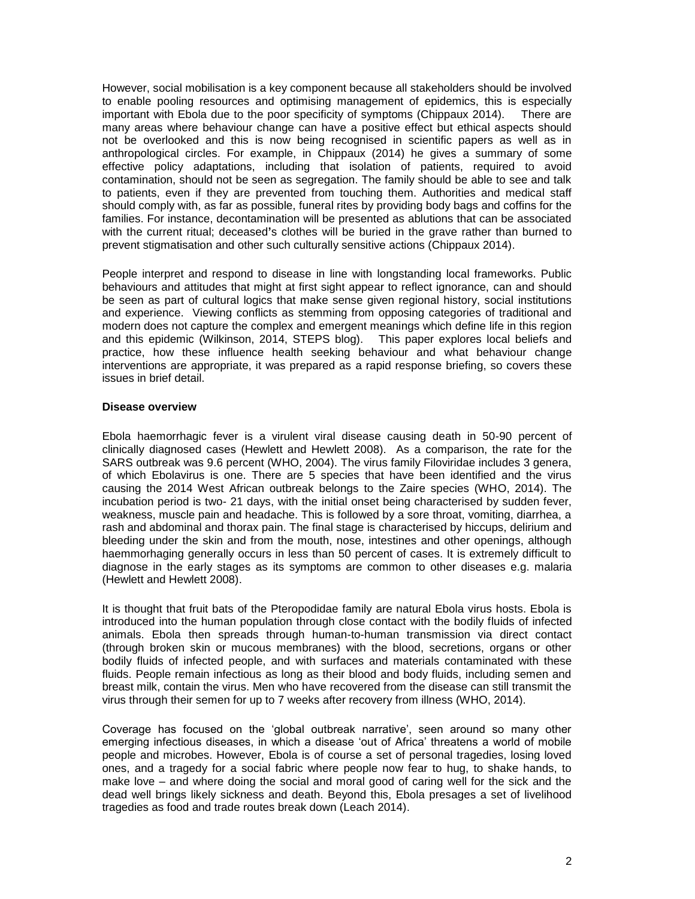However, social mobilisation is a key component because all stakeholders should be involved to enable pooling resources and optimising management of epidemics, this is especially important with Ebola due to the poor specificity of symptoms (Chippaux 2014). There are many areas where behaviour change can have a positive effect but ethical aspects should not be overlooked and this is now being recognised in scientific papers as well as in anthropological circles. For example, in Chippaux (2014) he gives a summary of some effective policy adaptations, including that isolation of patients, required to avoid contamination, should not be seen as segregation. The family should be able to see and talk to patients, even if they are prevented from touching them. Authorities and medical staff should comply with, as far as possible, funeral rites by providing body bags and coffins for the families. For instance, decontamination will be presented as ablutions that can be associated with the current ritual; deceased**'**s clothes will be buried in the grave rather than burned to prevent stigmatisation and other such culturally sensitive actions (Chippaux 2014).

People interpret and respond to disease in line with longstanding local frameworks. Public behaviours and attitudes that might at first sight appear to reflect ignorance, can and should be seen as part of cultural logics that make sense given regional history, social institutions and experience. Viewing conflicts as stemming from opposing categories of traditional and modern does not capture the complex and emergent meanings which define life in this region and this epidemic (Wilkinson, 2014, STEPS blog). This paper explores local beliefs and practice, how these influence health seeking behaviour and what behaviour change interventions are appropriate, it was prepared as a rapid response briefing, so covers these issues in brief detail.

### **Disease overview**

Ebola haemorrhagic fever is a virulent viral disease causing death in 50-90 percent of clinically diagnosed cases (Hewlett and Hewlett 2008). As a comparison, the rate for the SARS outbreak was 9.6 percent (WHO, 2004). The virus family Filoviridae includes 3 genera, of which Ebolavirus is one. There are 5 species that have been identified and the virus causing the 2014 West African outbreak belongs to the Zaire species (WHO, 2014). The incubation period is two- 21 days, with the initial onset being characterised by sudden fever, weakness, muscle pain and headache. This is followed by a sore throat, vomiting, diarrhea, a rash and abdominal and thorax pain. The final stage is characterised by hiccups, delirium and bleeding under the skin and from the mouth, nose, intestines and other openings, although haemmorhaging generally occurs in less than 50 percent of cases. It is extremely difficult to diagnose in the early stages as its symptoms are common to other diseases e.g. malaria (Hewlett and Hewlett 2008).

It is thought that fruit bats of the Pteropodidae family are natural Ebola virus hosts. Ebola is introduced into the human population through close contact with the bodily fluids of infected animals. Ebola then spreads through human-to-human transmission via direct contact (through broken skin or mucous membranes) with the blood, secretions, organs or other bodily fluids of infected people, and with surfaces and materials contaminated with these fluids. People remain infectious as long as their blood and body fluids, including semen and breast milk, contain the virus. Men who have recovered from the disease can still transmit the virus through their semen for up to 7 weeks after recovery from illness (WHO, 2014).

Coverage has focused on the 'global outbreak narrative', seen around so many other emerging infectious diseases, in which a disease 'out of Africa' threatens a world of mobile people and microbes. However, Ebola is of course a set of personal tragedies, losing loved ones, and a tragedy for a social fabric where people now fear to hug, to shake hands, to make love – and where doing the social and moral good of caring well for the sick and the dead well brings likely sickness and death. Beyond this, Ebola presages a set of livelihood tragedies as food and trade routes break down (Leach 2014).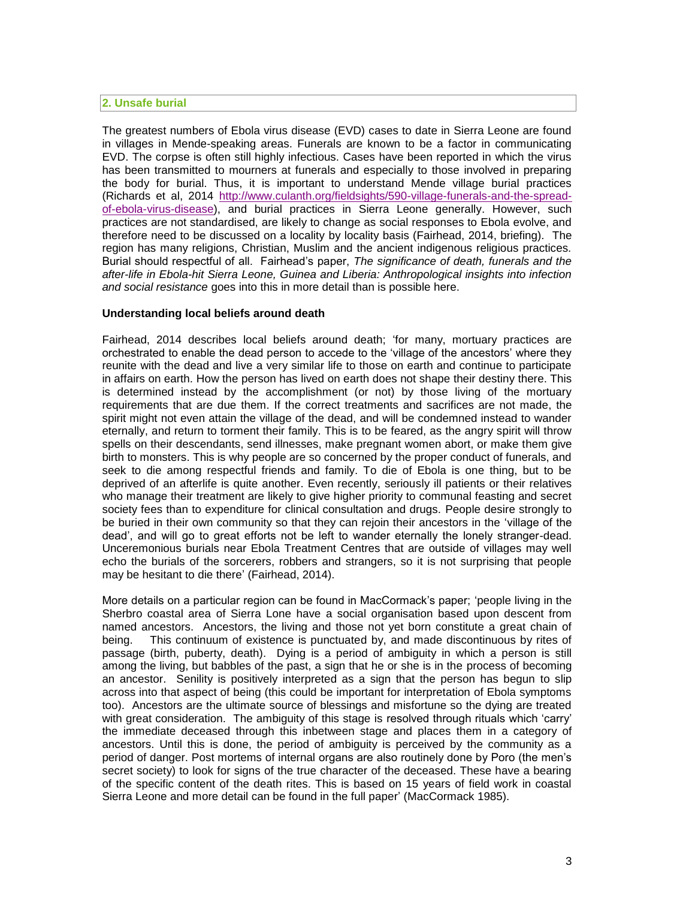### **2. Unsafe burial**

The greatest numbers of Ebola virus disease (EVD) cases to date in Sierra Leone are found in villages in Mende-speaking areas. Funerals are known to be a factor in communicating EVD. The corpse is often still highly infectious. Cases have been reported in which the virus has been transmitted to mourners at funerals and especially to those involved in preparing the body for burial. Thus, it is important to understand Mende village burial practices (Richards et al, 2014 [http://www.culanth.org/fieldsights/590-village-funerals-and-the-spread](http://www.culanth.org/fieldsights/590-village-funerals-and-the-spread-of-ebola-virus-disease)[of-ebola-virus-disease\)](http://www.culanth.org/fieldsights/590-village-funerals-and-the-spread-of-ebola-virus-disease), and burial practices in Sierra Leone generally. However, such practices are not standardised, are likely to change as social responses to Ebola evolve, and therefore need to be discussed on a locality by locality basis (Fairhead, 2014, briefing). The region has many religions, Christian, Muslim and the ancient indigenous religious practices. Burial should respectful of all. Fairhead's paper, *The significance of death, funerals and the after-life in Ebola-hit Sierra Leone, Guinea and Liberia: Anthropological insights into infection and social resistance* goes into this in more detail than is possible here.

### **Understanding local beliefs around death**

Fairhead, 2014 describes local beliefs around death; 'for many, mortuary practices are orchestrated to enable the dead person to accede to the 'village of the ancestors' where they reunite with the dead and live a very similar life to those on earth and continue to participate in affairs on earth. How the person has lived on earth does not shape their destiny there. This is determined instead by the accomplishment (or not) by those living of the mortuary requirements that are due them. If the correct treatments and sacrifices are not made, the spirit might not even attain the village of the dead, and will be condemned instead to wander eternally, and return to torment their family. This is to be feared, as the angry spirit will throw spells on their descendants, send illnesses, make pregnant women abort, or make them give birth to monsters. This is why people are so concerned by the proper conduct of funerals, and seek to die among respectful friends and family. To die of Ebola is one thing, but to be deprived of an afterlife is quite another. Even recently, seriously ill patients or their relatives who manage their treatment are likely to give higher priority to communal feasting and secret society fees than to expenditure for clinical consultation and drugs. People desire strongly to be buried in their own community so that they can rejoin their ancestors in the 'village of the dead', and will go to great efforts not be left to wander eternally the lonely stranger-dead. Unceremonious burials near Ebola Treatment Centres that are outside of villages may well echo the burials of the sorcerers, robbers and strangers, so it is not surprising that people may be hesitant to die there' (Fairhead, 2014).

More details on a particular region can be found in MacCormack's paper; 'people living in the Sherbro coastal area of Sierra Lone have a social organisation based upon descent from named ancestors. Ancestors, the living and those not yet born constitute a great chain of being. This continuum of existence is punctuated by, and made discontinuous by rites of passage (birth, puberty, death). Dying is a period of ambiguity in which a person is still among the living, but babbles of the past, a sign that he or she is in the process of becoming an ancestor. Senility is positively interpreted as a sign that the person has begun to slip across into that aspect of being (this could be important for interpretation of Ebola symptoms too). Ancestors are the ultimate source of blessings and misfortune so the dying are treated with great consideration. The ambiguity of this stage is resolved through rituals which 'carry' the immediate deceased through this inbetween stage and places them in a category of ancestors. Until this is done, the period of ambiguity is perceived by the community as a period of danger. Post mortems of internal organs are also routinely done by Poro (the men's secret society) to look for signs of the true character of the deceased. These have a bearing of the specific content of the death rites. This is based on 15 years of field work in coastal Sierra Leone and more detail can be found in the full paper' (MacCormack 1985).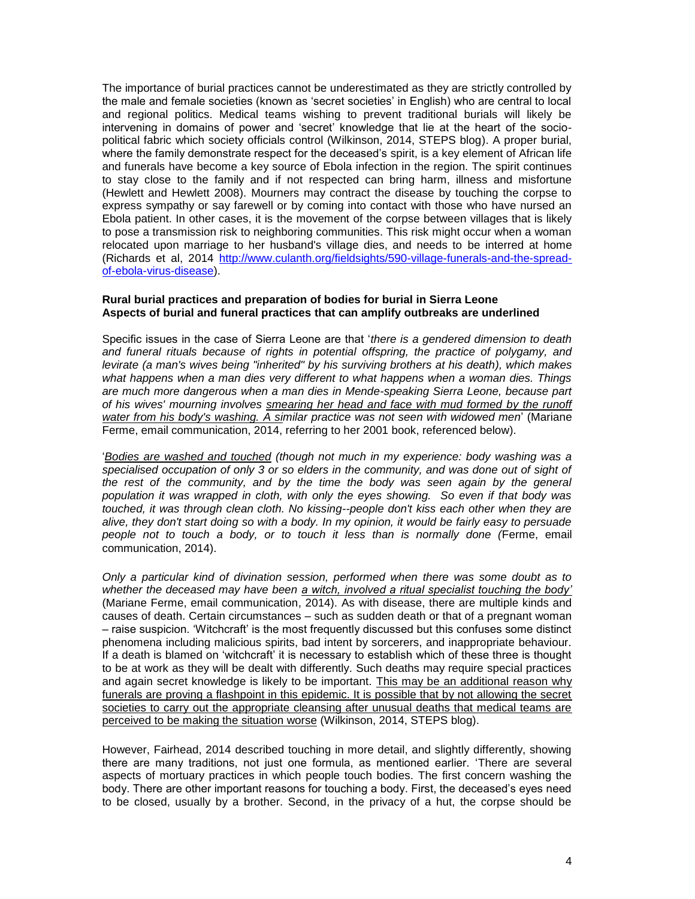The importance of burial practices cannot be underestimated as they are strictly controlled by the male and female societies (known as 'secret societies' in English) who are central to local and regional politics. Medical teams wishing to prevent traditional burials will likely be intervening in domains of power and 'secret' knowledge that lie at the heart of the sociopolitical fabric which society officials control (Wilkinson, 2014, STEPS blog). A proper burial, where the family demonstrate respect for the deceased's spirit, is a key element of African life and funerals have become a key source of Ebola infection in the region. The spirit continues to stay close to the family and if not respected can bring harm, illness and misfortune (Hewlett and Hewlett 2008). Mourners may contract the disease by touching the corpse to express sympathy or say farewell or by coming into contact with those who have nursed an Ebola patient. In other cases, it is the movement of the corpse between villages that is likely to pose a transmission risk to neighboring communities. This risk might occur when a woman relocated upon marriage to her husband's village dies, and needs to be interred at home (Richards et al, 2014 [http://www.culanth.org/fieldsights/590-village-funerals-and-the-spread](http://www.culanth.org/fieldsights/590-village-funerals-and-the-spread-of-ebola-virus-disease)[of-ebola-virus-disease\)](http://www.culanth.org/fieldsights/590-village-funerals-and-the-spread-of-ebola-virus-disease).

### **Rural burial practices and preparation of bodies for burial in Sierra Leone Aspects of burial and funeral practices that can amplify outbreaks are underlined**

Specific issues in the case of Sierra Leone are that '*there is a gendered dimension to death and funeral rituals because of rights in potential offspring, the practice of polygamy, and levirate (a man's wives being "inherited" by his surviving brothers at his death), which makes what happens when a man dies very different to what happens when a woman dies. Things are much more dangerous when a man dies in Mende-speaking Sierra Leone, because part of his wives' mourning involves smearing her head and face with mud formed by the runoff water from his body's washing. A similar practice was not seen with widowed men*' (Mariane Ferme, email communication, 2014, referring to her 2001 book, referenced below).

'*Bodies are washed and touched (though not much in my experience: body washing was a*  specialised occupation of only 3 or so elders in the community, and was done out of sight of *the rest of the community, and by the time the body was seen again by the general population it was wrapped in cloth, with only the eyes showing. So even if that body was touched, it was through clean cloth. No kissing--people don't kiss each other when they are alive, they don't start doing so with a body. In my opinion, it would be fairly easy to persuade people not to touch a body, or to touch it less than is normally done (*Ferme, email communication, 2014).

*Only a particular kind of divination session, performed when there was some doubt as to whether the deceased may have been a witch, involved a ritual specialist touching the body'* (Mariane Ferme, email communication, 2014). As with disease, there are multiple kinds and causes of death. Certain circumstances – such as sudden death or that of a pregnant woman – raise suspicion. 'Witchcraft' is the most frequently discussed but this confuses some distinct phenomena including malicious spirits, bad intent by sorcerers, and inappropriate behaviour. If a death is blamed on 'witchcraft' it is necessary to establish which of these three is thought to be at work as they will be dealt with differently. Such deaths may require special practices and again secret knowledge is likely to be important. This may be an additional reason why funerals are proving a flashpoint in this epidemic. It is possible that by not allowing the secret societies to carry out the appropriate cleansing after unusual deaths that medical teams are perceived to be making the situation worse (Wilkinson, 2014, STEPS blog).

However, Fairhead, 2014 described touching in more detail, and slightly differently, showing there are many traditions, not just one formula, as mentioned earlier. 'There are several aspects of mortuary practices in which people touch bodies. The first concern washing the body. There are other important reasons for touching a body. First, the deceased's eyes need to be closed, usually by a brother. Second, in the privacy of a hut, the corpse should be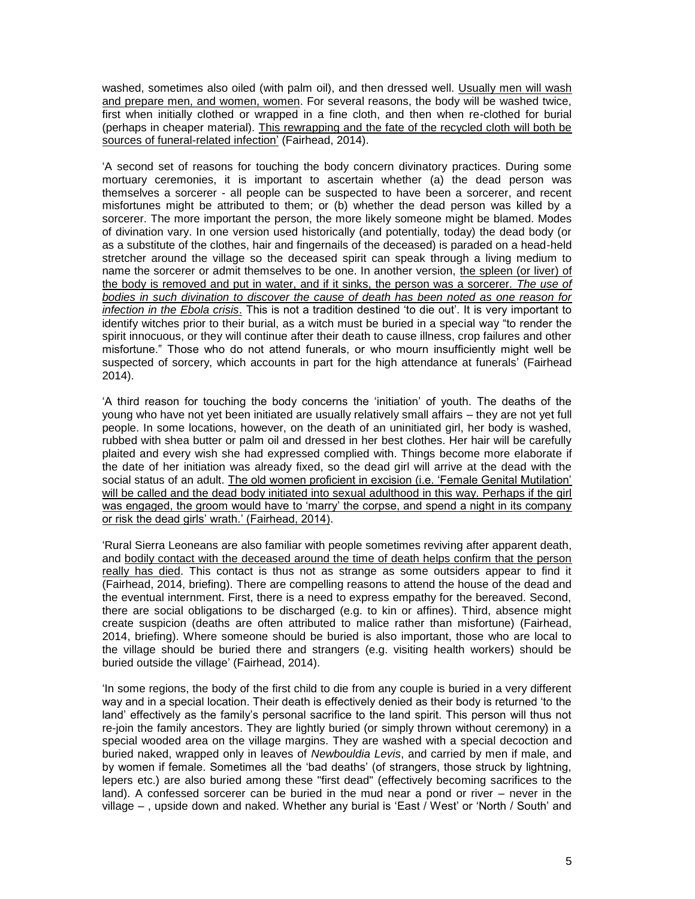washed, sometimes also oiled (with palm oil), and then dressed well. Usually men will wash and prepare men, and women, women. For several reasons, the body will be washed twice, first when initially clothed or wrapped in a fine cloth, and then when re-clothed for burial (perhaps in cheaper material). This rewrapping and the fate of the recycled cloth will both be sources of funeral-related infection' (Fairhead, 2014).

'A second set of reasons for touching the body concern divinatory practices. During some mortuary ceremonies, it is important to ascertain whether (a) the dead person was themselves a sorcerer - all people can be suspected to have been a sorcerer, and recent misfortunes might be attributed to them; or (b) whether the dead person was killed by a sorcerer. The more important the person, the more likely someone might be blamed. Modes of divination vary. In one version used historically (and potentially, today) the dead body (or as a substitute of the clothes, hair and fingernails of the deceased) is paraded on a head-held stretcher around the village so the deceased spirit can speak through a living medium to name the sorcerer or admit themselves to be one. In another version, the spleen (or liver) of the body is removed and put in water, and if it sinks, the person was a sorcerer. *The use of bodies in such divination to discover the cause of death has been noted as one reason for infection in the Ebola crisis*. This is not a tradition destined 'to die out'. It is very important to identify witches prior to their burial, as a witch must be buried in a special way "to render the spirit innocuous, or they will continue after their death to cause illness, crop failures and other misfortune." Those who do not attend funerals, or who mourn insufficiently might well be suspected of sorcery, which accounts in part for the high attendance at funerals' (Fairhead 2014).

'A third reason for touching the body concerns the 'initiation' of youth. The deaths of the young who have not yet been initiated are usually relatively small affairs – they are not yet full people. In some locations, however, on the death of an uninitiated girl, her body is washed, rubbed with shea butter or palm oil and dressed in her best clothes. Her hair will be carefully plaited and every wish she had expressed complied with. Things become more elaborate if the date of her initiation was already fixed, so the dead girl will arrive at the dead with the social status of an adult. The old women proficient in excision (i.e. 'Female Genital Mutilation' will be called and the dead body initiated into sexual adulthood in this way. Perhaps if the girl was engaged, the groom would have to 'marry' the corpse, and spend a night in its company or risk the dead girls' wrath.' (Fairhead, 2014).

'Rural Sierra Leoneans are also familiar with people sometimes reviving after apparent death, and bodily contact with the deceased around the time of death helps confirm that the person really has died. This contact is thus not as strange as some outsiders appear to find it (Fairhead, 2014, briefing). There are compelling reasons to attend the house of the dead and the eventual internment. First, there is a need to express empathy for the bereaved. Second, there are social obligations to be discharged (e.g. to kin or affines). Third, absence might create suspicion (deaths are often attributed to malice rather than misfortune) (Fairhead, 2014, briefing). Where someone should be buried is also important, those who are local to the village should be buried there and strangers (e.g. visiting health workers) should be buried outside the village' (Fairhead, 2014).

'In some regions, the body of the first child to die from any couple is buried in a very different way and in a special location. Their death is effectively denied as their body is returned 'to the land' effectively as the family's personal sacrifice to the land spirit. This person will thus not re-join the family ancestors. They are lightly buried (or simply thrown without ceremony) in a special wooded area on the village margins. They are washed with a special decoction and buried naked, wrapped only in leaves of *Newbouldia Levis*, and carried by men if male, and by women if female. Sometimes all the 'bad deaths' (of strangers, those struck by lightning, lepers etc.) are also buried among these "first dead" (effectively becoming sacrifices to the land). A confessed sorcerer can be buried in the mud near a pond or river – never in the village – , upside down and naked. Whether any burial is 'East / West' or 'North / South' and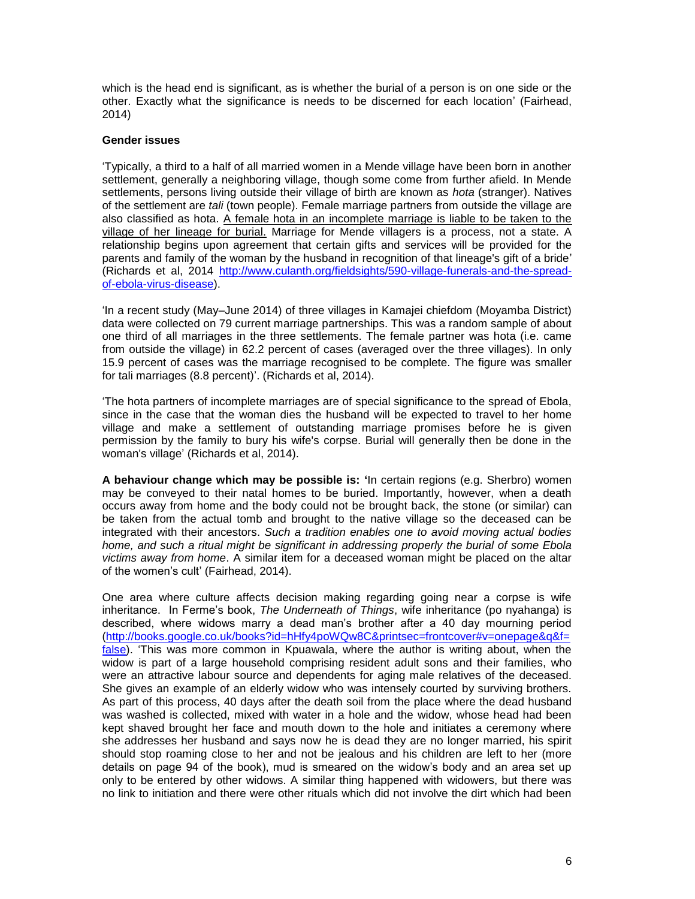which is the head end is significant, as is whether the burial of a person is on one side or the other. Exactly what the significance is needs to be discerned for each location' (Fairhead, 2014)

## **Gender issues**

'Typically, a third to a half of all married women in a Mende village have been born in another settlement, generally a neighboring village, though some come from further afield. In Mende settlements, persons living outside their village of birth are known as *hota* (stranger). Natives of the settlement are *tali* (town people). Female marriage partners from outside the village are also classified as hota. A female hota in an incomplete marriage is liable to be taken to the village of her lineage for burial. Marriage for Mende villagers is a process, not a state. A relationship begins upon agreement that certain gifts and services will be provided for the parents and family of the woman by the husband in recognition of that lineage's gift of a bride' (Richards et al, 2014 [http://www.culanth.org/fieldsights/590-village-funerals-and-the-spread](http://www.culanth.org/fieldsights/590-village-funerals-and-the-spread-of-ebola-virus-disease)[of-ebola-virus-disease\)](http://www.culanth.org/fieldsights/590-village-funerals-and-the-spread-of-ebola-virus-disease).

'In a recent study (May–June 2014) of three villages in Kamajei chiefdom (Moyamba District) data were collected on 79 current marriage partnerships. This was a random sample of about one third of all marriages in the three settlements. The female partner was hota (i.e. came from outside the village) in 62.2 percent of cases (averaged over the three villages). In only 15.9 percent of cases was the marriage recognised to be complete. The figure was smaller for tali marriages (8.8 percent)'. (Richards et al, 2014).

'The hota partners of incomplete marriages are of special significance to the spread of Ebola, since in the case that the woman dies the husband will be expected to travel to her home village and make a settlement of outstanding marriage promises before he is given permission by the family to bury his wife's corpse. Burial will generally then be done in the woman's village' (Richards et al, 2014).

**A behaviour change which may be possible is: '**In certain regions (e.g. Sherbro) women may be conveyed to their natal homes to be buried. Importantly, however, when a death occurs away from home and the body could not be brought back, the stone (or similar) can be taken from the actual tomb and brought to the native village so the deceased can be integrated with their ancestors. *Such a tradition enables one to avoid moving actual bodies home, and such a ritual might be significant in addressing properly the burial of some Ebola victims away from home*. A similar item for a deceased woman might be placed on the altar of the women's cult' (Fairhead, 2014).

One area where culture affects decision making regarding going near a corpse is wife inheritance. In Ferme's book, *The Underneath of Things*, wife inheritance (po nyahanga) is described, where widows marry a dead man's brother after a 40 day mourning period [\(http://books.google.co.uk/books?id=hHfy4poWQw8C&printsec=frontcover#v=onepage&q&f=](http://books.google.co.uk/books?id=hHfy4poWQw8C&printsec=frontcover#v=onepage&q&f=false) [false\)](http://books.google.co.uk/books?id=hHfy4poWQw8C&printsec=frontcover#v=onepage&q&f=false). 'This was more common in Kpuawala, where the author is writing about, when the widow is part of a large household comprising resident adult sons and their families, who were an attractive labour source and dependents for aging male relatives of the deceased. She gives an example of an elderly widow who was intensely courted by surviving brothers. As part of this process, 40 days after the death soil from the place where the dead husband was washed is collected, mixed with water in a hole and the widow, whose head had been kept shaved brought her face and mouth down to the hole and initiates a ceremony where she addresses her husband and says now he is dead they are no longer married, his spirit should stop roaming close to her and not be jealous and his children are left to her (more details on page 94 of the book), mud is smeared on the widow's body and an area set up only to be entered by other widows. A similar thing happened with widowers, but there was no link to initiation and there were other rituals which did not involve the dirt which had been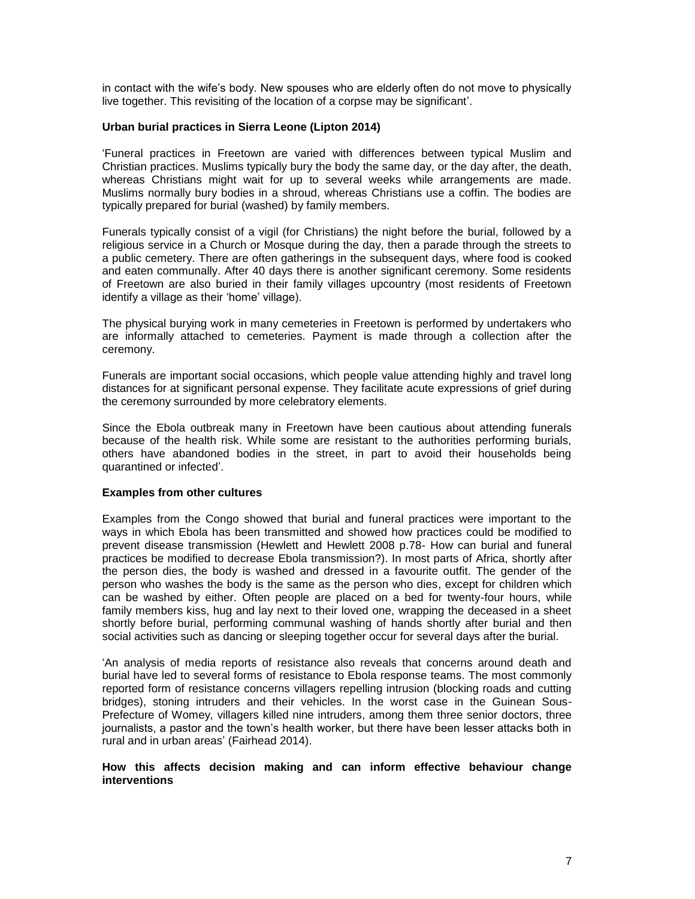in contact with the wife's body. New spouses who are elderly often do not move to physically live together. This revisiting of the location of a corpse may be significant'.

## **Urban burial practices in Sierra Leone (Lipton 2014)**

'Funeral practices in Freetown are varied with differences between typical Muslim and Christian practices. Muslims typically bury the body the same day, or the day after, the death, whereas Christians might wait for up to several weeks while arrangements are made. Muslims normally bury bodies in a shroud, whereas Christians use a coffin. The bodies are typically prepared for burial (washed) by family members.

Funerals typically consist of a vigil (for Christians) the night before the burial, followed by a religious service in a Church or Mosque during the day, then a parade through the streets to a public cemetery. There are often gatherings in the subsequent days, where food is cooked and eaten communally. After 40 days there is another significant ceremony. Some residents of Freetown are also buried in their family villages upcountry (most residents of Freetown identify a village as their 'home' village).

The physical burying work in many cemeteries in Freetown is performed by undertakers who are informally attached to cemeteries. Payment is made through a collection after the ceremony.

Funerals are important social occasions, which people value attending highly and travel long distances for at significant personal expense. They facilitate acute expressions of grief during the ceremony surrounded by more celebratory elements.

Since the Ebola outbreak many in Freetown have been cautious about attending funerals because of the health risk. While some are resistant to the authorities performing burials, others have abandoned bodies in the street, in part to avoid their households being quarantined or infected'.

#### **Examples from other cultures**

Examples from the Congo showed that burial and funeral practices were important to the ways in which Ebola has been transmitted and showed how practices could be modified to prevent disease transmission (Hewlett and Hewlett 2008 p.78- How can burial and funeral practices be modified to decrease Ebola transmission?). In most parts of Africa, shortly after the person dies, the body is washed and dressed in a favourite outfit. The gender of the person who washes the body is the same as the person who dies, except for children which can be washed by either. Often people are placed on a bed for twenty-four hours, while family members kiss, hug and lay next to their loved one, wrapping the deceased in a sheet shortly before burial, performing communal washing of hands shortly after burial and then social activities such as dancing or sleeping together occur for several days after the burial.

'An analysis of media reports of resistance also reveals that concerns around death and burial have led to several forms of resistance to Ebola response teams. The most commonly reported form of resistance concerns villagers repelling intrusion (blocking roads and cutting bridges), stoning intruders and their vehicles. In the worst case in the Guinean Sous-Prefecture of Womey, villagers killed nine intruders, among them three senior doctors, three journalists, a pastor and the town's health worker, but there have been lesser attacks both in rural and in urban areas' (Fairhead 2014).

### **How this affects decision making and can inform effective behaviour change interventions**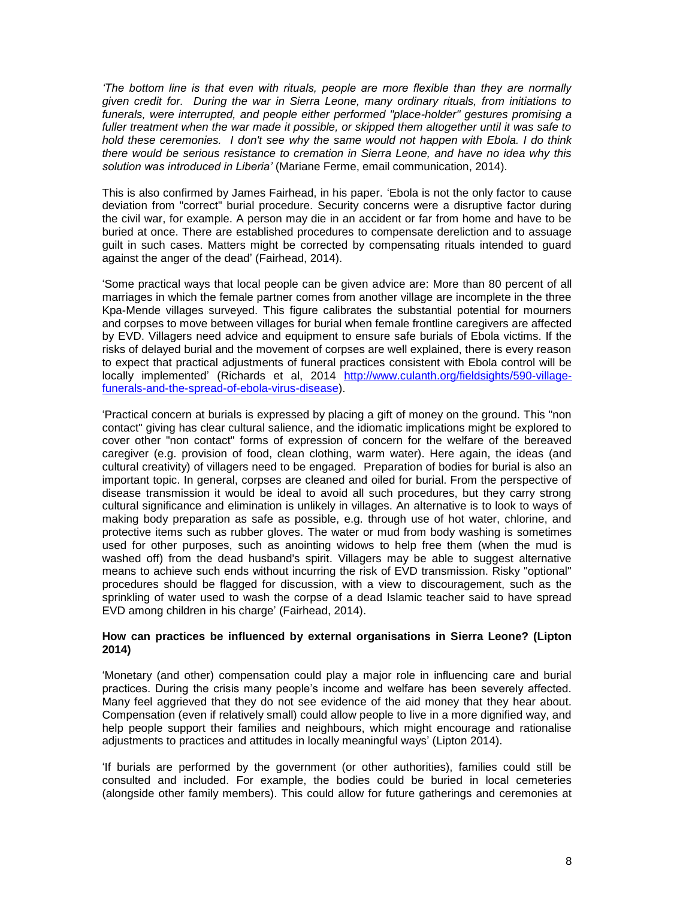*'The bottom line is that even with rituals, people are more flexible than they are normally given credit for. During the war in Sierra Leone, many ordinary rituals, from initiations to funerals, were interrupted, and people either performed "place-holder" gestures promising a fuller treatment when the war made it possible, or skipped them altogether until it was safe to hold these ceremonies. I don't see why the same would not happen with Ebola. I do think there would be serious resistance to cremation in Sierra Leone, and have no idea why this solution was introduced in Liberia'* (Mariane Ferme, email communication, 2014).

This is also confirmed by James Fairhead, in his paper. 'Ebola is not the only factor to cause deviation from "correct" burial procedure. Security concerns were a disruptive factor during the civil war, for example. A person may die in an accident or far from home and have to be buried at once. There are established procedures to compensate dereliction and to assuage guilt in such cases. Matters might be corrected by compensating rituals intended to guard against the anger of the dead' (Fairhead, 2014).

'Some practical ways that local people can be given advice are: More than 80 percent of all marriages in which the female partner comes from another village are incomplete in the three Kpa-Mende villages surveyed. This figure calibrates the substantial potential for mourners and corpses to move between villages for burial when female frontline caregivers are affected by EVD. Villagers need advice and equipment to ensure safe burials of Ebola victims. If the risks of delayed burial and the movement of corpses are well explained, there is every reason to expect that practical adjustments of funeral practices consistent with Ebola control will be locally implemented' (Richards et al, 2014 [http://www.culanth.org/fieldsights/590-village](http://www.culanth.org/fieldsights/590-village-funerals-and-the-spread-of-ebola-virus-disease)[funerals-and-the-spread-of-ebola-virus-disease\)](http://www.culanth.org/fieldsights/590-village-funerals-and-the-spread-of-ebola-virus-disease).

'Practical concern at burials is expressed by placing a gift of money on the ground. This "non contact" giving has clear cultural salience, and the idiomatic implications might be explored to cover other "non contact" forms of expression of concern for the welfare of the bereaved caregiver (e.g. provision of food, clean clothing, warm water). Here again, the ideas (and cultural creativity) of villagers need to be engaged. Preparation of bodies for burial is also an important topic. In general, corpses are cleaned and oiled for burial. From the perspective of disease transmission it would be ideal to avoid all such procedures, but they carry strong cultural significance and elimination is unlikely in villages. An alternative is to look to ways of making body preparation as safe as possible, e.g. through use of hot water, chlorine, and protective items such as rubber gloves. The water or mud from body washing is sometimes used for other purposes, such as anointing widows to help free them (when the mud is washed off) from the dead husband's spirit. Villagers may be able to suggest alternative means to achieve such ends without incurring the risk of EVD transmission. Risky "optional" procedures should be flagged for discussion, with a view to discouragement, such as the sprinkling of water used to wash the corpse of a dead Islamic teacher said to have spread EVD among children in his charge' (Fairhead, 2014).

## **How can practices be influenced by external organisations in Sierra Leone? (Lipton 2014)**

'Monetary (and other) compensation could play a major role in influencing care and burial practices. During the crisis many people's income and welfare has been severely affected. Many feel aggrieved that they do not see evidence of the aid money that they hear about. Compensation (even if relatively small) could allow people to live in a more dignified way, and help people support their families and neighbours, which might encourage and rationalise adjustments to practices and attitudes in locally meaningful ways' (Lipton 2014).

'If burials are performed by the government (or other authorities), families could still be consulted and included. For example, the bodies could be buried in local cemeteries (alongside other family members). This could allow for future gatherings and ceremonies at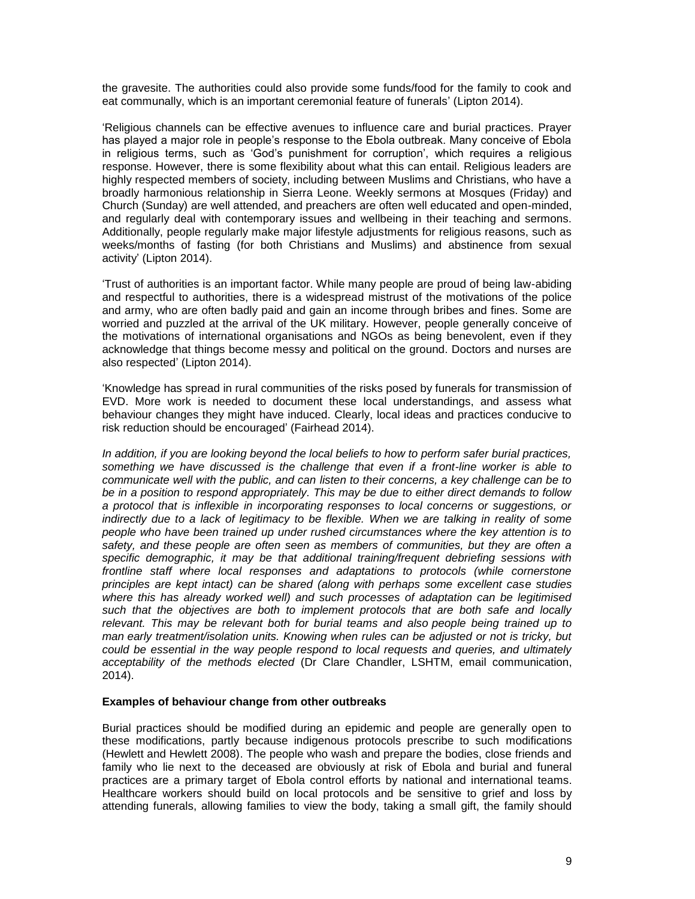the gravesite. The authorities could also provide some funds/food for the family to cook and eat communally, which is an important ceremonial feature of funerals' (Lipton 2014).

'Religious channels can be effective avenues to influence care and burial practices. Prayer has played a major role in people's response to the Ebola outbreak. Many conceive of Ebola in religious terms, such as 'God's punishment for corruption', which requires a religious response. However, there is some flexibility about what this can entail. Religious leaders are highly respected members of society, including between Muslims and Christians, who have a broadly harmonious relationship in Sierra Leone. Weekly sermons at Mosques (Friday) and Church (Sunday) are well attended, and preachers are often well educated and open-minded, and regularly deal with contemporary issues and wellbeing in their teaching and sermons. Additionally, people regularly make major lifestyle adjustments for religious reasons, such as weeks/months of fasting (for both Christians and Muslims) and abstinence from sexual activity' (Lipton 2014).

'Trust of authorities is an important factor. While many people are proud of being law-abiding and respectful to authorities, there is a widespread mistrust of the motivations of the police and army, who are often badly paid and gain an income through bribes and fines. Some are worried and puzzled at the arrival of the UK military. However, people generally conceive of the motivations of international organisations and NGOs as being benevolent, even if they acknowledge that things become messy and political on the ground. Doctors and nurses are also respected' (Lipton 2014).

'Knowledge has spread in rural communities of the risks posed by funerals for transmission of EVD. More work is needed to document these local understandings, and assess what behaviour changes they might have induced. Clearly, local ideas and practices conducive to risk reduction should be encouraged' (Fairhead 2014).

*In addition, if you are looking beyond the local beliefs to how to perform safer burial practices, something we have discussed is the challenge that even if a front-line worker is able to communicate well with the public, and can listen to their concerns, a key challenge can be to be in a position to respond appropriately. This may be due to either direct demands to follow a protocol that is inflexible in incorporating responses to local concerns or suggestions, or*  indirectly due to a lack of legitimacy to be flexible. When we are talking in reality of some *people who have been trained up under rushed circumstances where the key attention is to safety, and these people are often seen as members of communities, but they are often a specific demographic, it may be that additional training/frequent debriefing sessions with frontline staff where local responses and adaptations to protocols (while cornerstone principles are kept intact) can be shared (along with perhaps some excellent case studies where this has already worked well) and such processes of adaptation can be legitimised such that the objectives are both to implement protocols that are both safe and locally relevant. This may be relevant both for burial teams and also people being trained up to man early treatment/isolation units. Knowing when rules can be adjusted or not is tricky, but could be essential in the way people respond to local requests and queries, and ultimately acceptability of the methods elected* (Dr Clare Chandler, LSHTM, email communication, 2014).

### **Examples of behaviour change from other outbreaks**

Burial practices should be modified during an epidemic and people are generally open to these modifications, partly because indigenous protocols prescribe to such modifications (Hewlett and Hewlett 2008). The people who wash and prepare the bodies, close friends and family who lie next to the deceased are obviously at risk of Ebola and burial and funeral practices are a primary target of Ebola control efforts by national and international teams. Healthcare workers should build on local protocols and be sensitive to grief and loss by attending funerals, allowing families to view the body, taking a small gift, the family should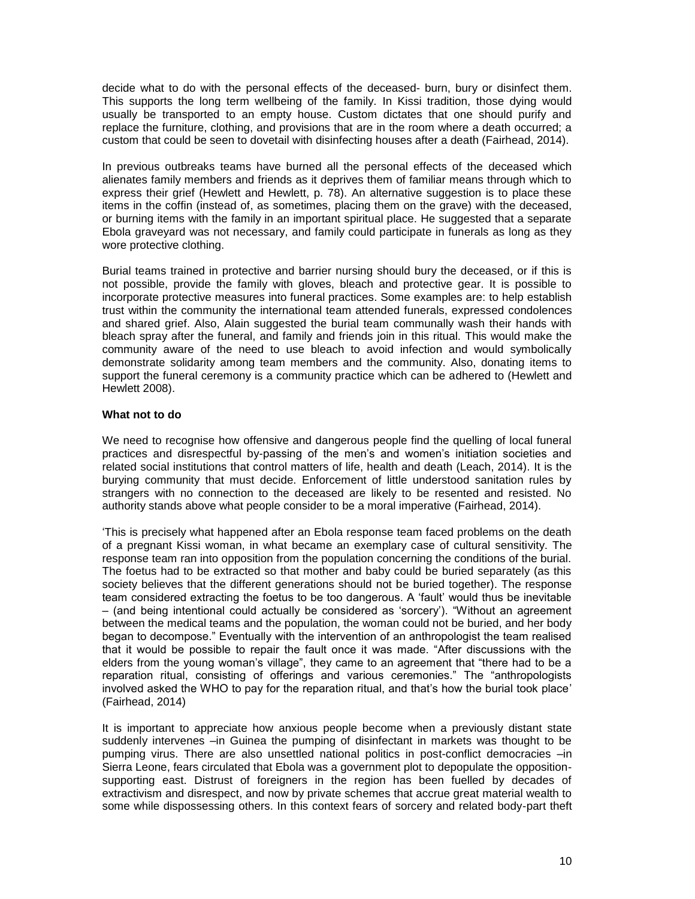decide what to do with the personal effects of the deceased- burn, bury or disinfect them. This supports the long term wellbeing of the family. In Kissi tradition, those dying would usually be transported to an empty house. Custom dictates that one should purify and replace the furniture, clothing, and provisions that are in the room where a death occurred; a custom that could be seen to dovetail with disinfecting houses after a death (Fairhead, 2014).

In previous outbreaks teams have burned all the personal effects of the deceased which alienates family members and friends as it deprives them of familiar means through which to express their grief (Hewlett and Hewlett, p. 78). An alternative suggestion is to place these items in the coffin (instead of, as sometimes, placing them on the grave) with the deceased, or burning items with the family in an important spiritual place. He suggested that a separate Ebola graveyard was not necessary, and family could participate in funerals as long as they wore protective clothing.

Burial teams trained in protective and barrier nursing should bury the deceased, or if this is not possible, provide the family with gloves, bleach and protective gear. It is possible to incorporate protective measures into funeral practices. Some examples are: to help establish trust within the community the international team attended funerals, expressed condolences and shared grief. Also, Alain suggested the burial team communally wash their hands with bleach spray after the funeral, and family and friends join in this ritual. This would make the community aware of the need to use bleach to avoid infection and would symbolically demonstrate solidarity among team members and the community. Also, donating items to support the funeral ceremony is a community practice which can be adhered to (Hewlett and Hewlett 2008).

# **What not to do**

We need to recognise how offensive and dangerous people find the quelling of local funeral practices and disrespectful by-passing of the men's and women's initiation societies and related social institutions that control matters of life, health and death (Leach, 2014). It is the burying community that must decide. Enforcement of little understood sanitation rules by strangers with no connection to the deceased are likely to be resented and resisted. No authority stands above what people consider to be a moral imperative (Fairhead, 2014).

'This is precisely what happened after an Ebola response team faced problems on the death of a pregnant Kissi woman, in what became an exemplary case of cultural sensitivity. The response team ran into opposition from the population concerning the conditions of the burial. The foetus had to be extracted so that mother and baby could be buried separately (as this society believes that the different generations should not be buried together). The response team considered extracting the foetus to be too dangerous. A 'fault' would thus be inevitable – (and being intentional could actually be considered as 'sorcery'). "Without an agreement between the medical teams and the population, the woman could not be buried, and her body began to decompose." Eventually with the intervention of an anthropologist the team realised that it would be possible to repair the fault once it was made. "After discussions with the elders from the young woman's village", they came to an agreement that "there had to be a reparation ritual, consisting of offerings and various ceremonies." The "anthropologists involved asked the WHO to pay for the reparation ritual, and that's how the burial took place' (Fairhead, 2014)

It is important to appreciate how anxious people become when a previously distant state suddenly intervenes –in Guinea the pumping of disinfectant in markets was thought to be pumping virus. There are also unsettled national politics in post-conflict democracies –in Sierra Leone, fears circulated that Ebola was a government plot to depopulate the oppositionsupporting east. Distrust of foreigners in the region has been fuelled by decades of extractivism and disrespect, and now by private schemes that accrue great material wealth to some while dispossessing others. In this context fears of sorcery and related body-part theft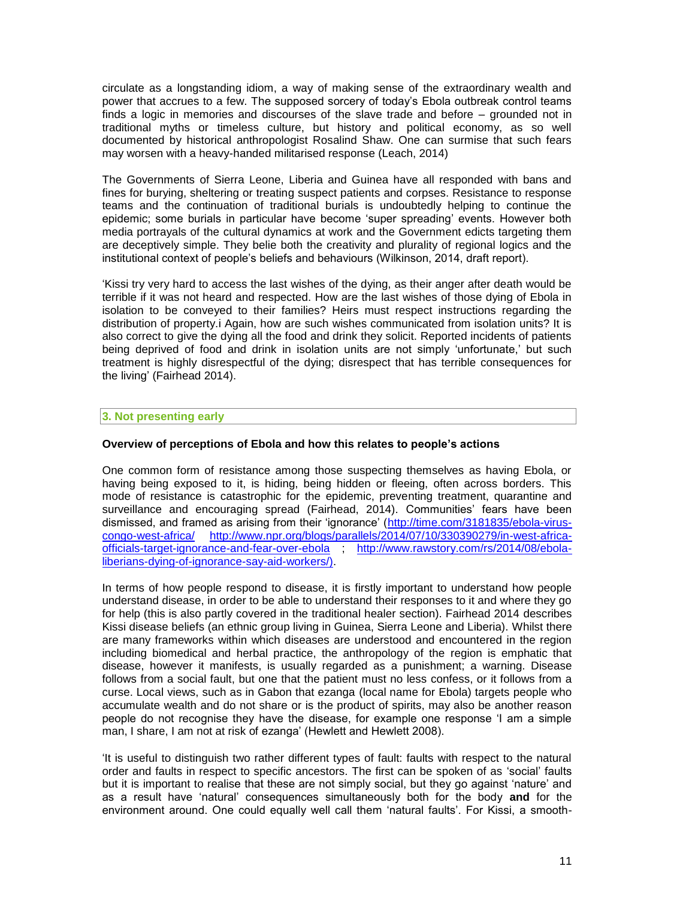circulate as a longstanding idiom, a way of making sense of the extraordinary wealth and power that accrues to a few. The supposed sorcery of today's Ebola outbreak control teams finds a logic in memories and discourses of the slave trade and before – grounded not in traditional myths or timeless culture, but history and political economy, as so well documented by historical anthropologist Rosalind Shaw. One can surmise that such fears may worsen with a heavy-handed militarised response (Leach, 2014)

The Governments of Sierra Leone, Liberia and Guinea have all responded with bans and fines for burying, sheltering or treating suspect patients and corpses. Resistance to response teams and the continuation of traditional burials is undoubtedly helping to continue the epidemic; some burials in particular have become 'super spreading' events. However both media portrayals of the cultural dynamics at work and the Government edicts targeting them are deceptively simple. They belie both the creativity and plurality of regional logics and the institutional context of people's beliefs and behaviours (Wilkinson, 2014, draft report).

'Kissi try very hard to access the last wishes of the dying, as their anger after death would be terrible if it was not heard and respected. How are the last wishes of those dying of Ebola in isolation to be conveyed to their families? Heirs must respect instructions regarding the distribution of property.i Again, how are such wishes communicated from isolation units? It is also correct to give the dying all the food and drink they solicit. Reported incidents of patients being deprived of food and drink in isolation units are not simply 'unfortunate,' but such treatment is highly disrespectful of the dying; disrespect that has terrible consequences for the living' (Fairhead 2014).

## **3. Not presenting early**

### **Overview of perceptions of Ebola and how this relates to people's actions**

One common form of resistance among those suspecting themselves as having Ebola, or having being exposed to it, is hiding, being hidden or fleeing, often across borders. This mode of resistance is catastrophic for the epidemic, preventing treatment, quarantine and surveillance and encouraging spread (Fairhead, 2014). Communities' fears have been dismissed, and framed as arising from their 'ignorance' [\(http://time.com/3181835/ebola-virus](http://time.com/3181835/ebola-virus-congo-west-africa/)[congo-west-africa/](http://time.com/3181835/ebola-virus-congo-west-africa/) [http://www.npr.org/blogs/parallels/2014/07/10/330390279/in-west-africa](http://www.npr.org/blogs/parallels/2014/07/10/330390279/in-west-africa-officials-target-ignorance-and-fear-over-ebola)[officials-target-ignorance-and-fear-over-ebola](http://www.npr.org/blogs/parallels/2014/07/10/330390279/in-west-africa-officials-target-ignorance-and-fear-over-ebola) ; [http://www.rawstory.com/rs/2014/08/ebola](http://www.rawstory.com/rs/2014/08/ebola-liberians-dying-of-ignorance-say-aid-workers/)[liberians-dying-of-ignorance-say-aid-workers/\)](http://www.rawstory.com/rs/2014/08/ebola-liberians-dying-of-ignorance-say-aid-workers/).

In terms of how people respond to disease, it is firstly important to understand how people understand disease, in order to be able to understand their responses to it and where they go for help (this is also partly covered in the traditional healer section). Fairhead 2014 describes Kissi disease beliefs (an ethnic group living in Guinea, Sierra Leone and Liberia). Whilst there are many frameworks within which diseases are understood and encountered in the region including biomedical and herbal practice, the anthropology of the region is emphatic that disease, however it manifests, is usually regarded as a punishment; a warning. Disease follows from a social fault, but one that the patient must no less confess, or it follows from a curse. Local views, such as in Gabon that ezanga (local name for Ebola) targets people who accumulate wealth and do not share or is the product of spirits, may also be another reason people do not recognise they have the disease, for example one response 'I am a simple man, I share, I am not at risk of ezanga' (Hewlett and Hewlett 2008).

'It is useful to distinguish two rather different types of fault: faults with respect to the natural order and faults in respect to specific ancestors. The first can be spoken of as 'social' faults but it is important to realise that these are not simply social, but they go against 'nature' and as a result have 'natural' consequences simultaneously both for the body **and** for the environment around. One could equally well call them 'natural faults'. For Kissi, a smooth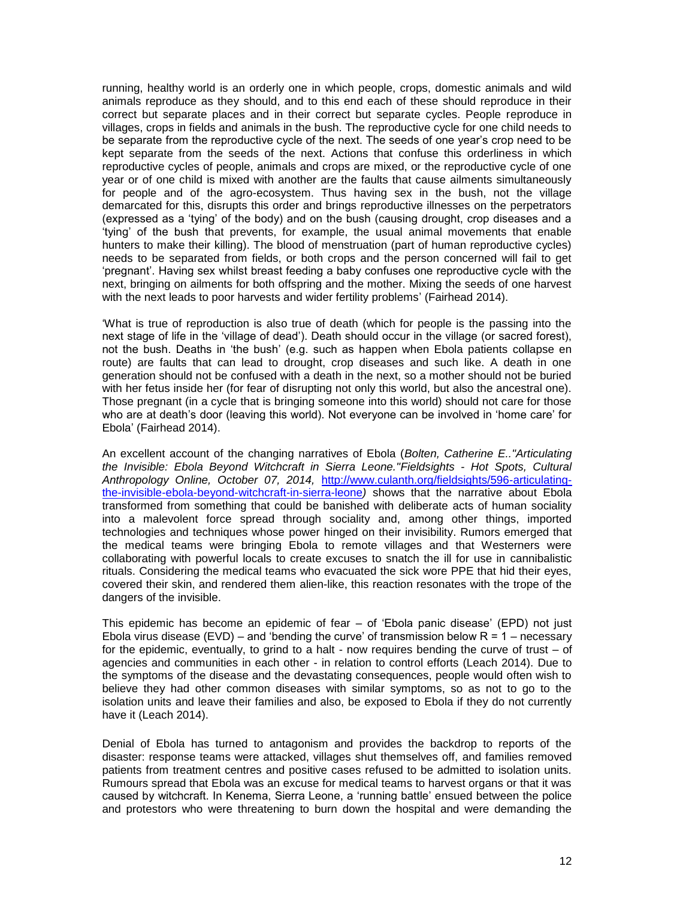running, healthy world is an orderly one in which people, crops, domestic animals and wild animals reproduce as they should, and to this end each of these should reproduce in their correct but separate places and in their correct but separate cycles. People reproduce in villages, crops in fields and animals in the bush. The reproductive cycle for one child needs to be separate from the reproductive cycle of the next. The seeds of one year's crop need to be kept separate from the seeds of the next. Actions that confuse this orderliness in which reproductive cycles of people, animals and crops are mixed, or the reproductive cycle of one year or of one child is mixed with another are the faults that cause ailments simultaneously for people and of the agro-ecosystem. Thus having sex in the bush, not the village demarcated for this, disrupts this order and brings reproductive illnesses on the perpetrators (expressed as a 'tying' of the body) and on the bush (causing drought, crop diseases and a 'tying' of the bush that prevents, for example, the usual animal movements that enable hunters to make their killing). The blood of menstruation (part of human reproductive cycles) needs to be separated from fields, or both crops and the person concerned will fail to get 'pregnant'. Having sex whilst breast feeding a baby confuses one reproductive cycle with the next, bringing on ailments for both offspring and the mother. Mixing the seeds of one harvest with the next leads to poor harvests and wider fertility problems' (Fairhead 2014).

'What is true of reproduction is also true of death (which for people is the passing into the next stage of life in the 'village of dead'). Death should occur in the village (or sacred forest), not the bush. Deaths in 'the bush' (e.g. such as happen when Ebola patients collapse en route) are faults that can lead to drought, crop diseases and such like. A death in one generation should not be confused with a death in the next, so a mother should not be buried with her fetus inside her (for fear of disrupting not only this world, but also the ancestral one). Those pregnant (in a cycle that is bringing someone into this world) should not care for those who are at death's door (leaving this world). Not everyone can be involved in 'home care' for Ebola' (Fairhead 2014).

An excellent account of the changing narratives of Ebola (*Bolten, Catherine E.."Articulating the Invisible: Ebola Beyond Witchcraft in Sierra Leone."Fieldsights - Hot Spots, Cultural Anthropology Online, October 07, 2014,* [http://www.culanth.org/fieldsights/596-articulating](http://www.culanth.org/fieldsights/596-articulating-the-invisible-ebola-beyond-witchcraft-in-sierra-leone)[the-invisible-ebola-beyond-witchcraft-in-sierra-leone](http://www.culanth.org/fieldsights/596-articulating-the-invisible-ebola-beyond-witchcraft-in-sierra-leone)*)* shows that the narrative about Ebola transformed from something that could be banished with deliberate acts of human sociality into a malevolent force spread through sociality and, among other things, imported technologies and techniques whose power [hinged on their invisibility.](http://dx.doi.org/%2010.1525/ae.1997.24.4.856) Rumors emerged that the medical teams were bringing Ebola to remote villages and that Westerners were collaborating with powerful locals to create excuses to snatch the ill for use in [cannibalistic](http://www.reuters.com/article/2014/07/26/us-health-ebola-africa-idUSKBN0FV0NL20140726)  [rituals.](http://www.reuters.com/article/2014/07/26/us-health-ebola-africa-idUSKBN0FV0NL20140726) Considering the medical teams who evacuated the sick wore PPE that hid their eyes, covered their skin, and rendered them [alien-like,](http://www.buzzfeed.com/jinamoore/ebola-is-killing-women-in-far-greater-numbers-than-men) this reaction resonates with the trope of the dangers of the invisible.

This epidemic has become an epidemic of fear – of 'Ebola panic disease' (EPD) not just Ebola virus disease (EVD) – and 'bending the curve' of transmission below  $R = 1 -$  necessary for the epidemic, eventually, to grind to a halt - now requires bending the curve of trust – of agencies and communities in each other - in relation to control efforts (Leach 2014). Due to the symptoms of the disease and the devastating consequences, people would often wish to believe they had other common diseases with similar symptoms, so as not to go to the isolation units and leave their families and also, be exposed to Ebola if they do not currently have it (Leach 2014).

Denial of Ebola has turned to antagonism and provides the backdrop to reports of the disaster: response teams were attacked, villages shut themselves off, and families removed patients from treatment centres and positive cases refused to be admitted to isolation units. Rumours spread that Ebola was an excuse for medical teams to harvest organs or that it was caused by witchcraft. In Kenema, Sierra Leone, a 'running battle' ensued between the police and protestors who were threatening to burn down the hospital and were demanding the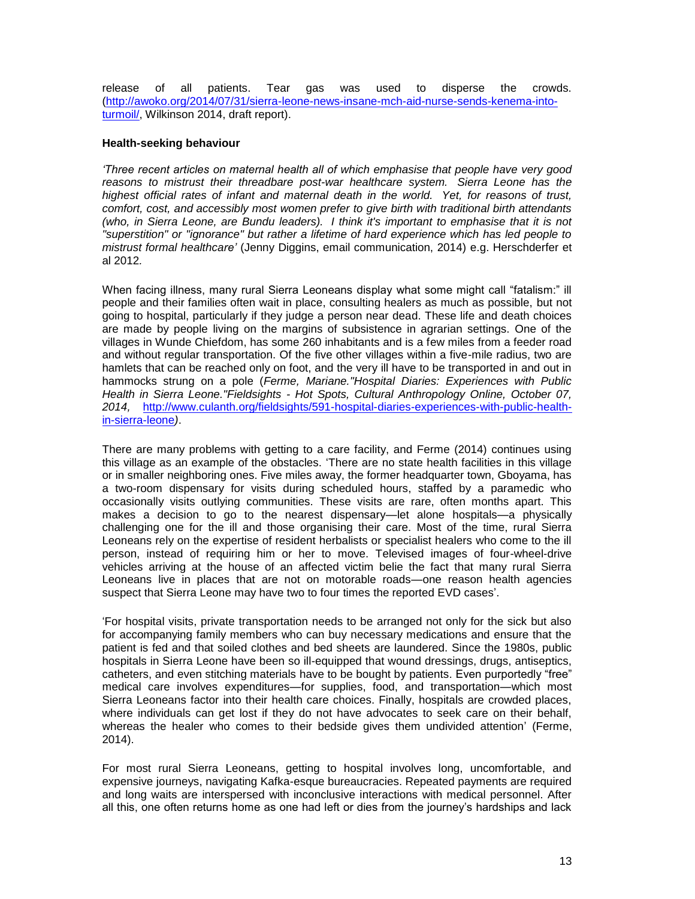release of all patients. Tear gas was used to disperse the crowds. [\(http://awoko.org/2014/07/31/sierra-leone-news-insane-mch-aid-nurse-sends-kenema-into](http://awoko.org/2014/07/31/sierra-leone-news-insane-mch-aid-nurse-sends-kenema-into-turmoil/)[turmoil/,](http://awoko.org/2014/07/31/sierra-leone-news-insane-mch-aid-nurse-sends-kenema-into-turmoil/) Wilkinson 2014, draft report).

## **Health-seeking behaviour**

*'Three recent articles on maternal health all of which emphasise that people have very good reasons to mistrust their threadbare post-war healthcare system. Sierra Leone has the*  highest official rates of infant and maternal death in the world. Yet, for reasons of trust, *comfort, cost, and accessibly most women prefer to give birth with traditional birth attendants (who, in Sierra Leone, are Bundu leaders). I think it's important to emphasise that it is not "superstition" or "ignorance" but rather a lifetime of hard experience which has led people to mistrust formal healthcare'* (Jenny Diggins, email communication, 2014) e.g. Herschderfer et al 2012*.*

When facing illness, many rural Sierra Leoneans display what some might call "fatalism:" ill people and their families often wait in place, consulting healers as much as possible, but not going to hospital, particularly if they judge a person near dead. These life and death choices are made by people living on the margins of subsistence in agrarian settings. One of the villages in Wunde Chiefdom, has some 260 inhabitants and is a few miles from a feeder road and without regular transportation. Of the five other villages within a five-mile radius, two are hamlets that can be reached only on foot, and the very ill have to be transported in and out in hammocks strung on a pole (*Ferme, Mariane."Hospital Diaries: Experiences with Public Health in Sierra Leone."Fieldsights - Hot Spots, Cultural Anthropology Online, October 07, 2014,* [http://www.culanth.org/fieldsights/591-hospital-diaries-experiences-with-public-health](http://www.culanth.org/fieldsights/591-hospital-diaries-experiences-with-public-health-in-sierra-leone)[in-sierra-leone](http://www.culanth.org/fieldsights/591-hospital-diaries-experiences-with-public-health-in-sierra-leone)*)*.

There are many problems with getting to a care facility, and Ferme (2014) continues using this village as an example of the obstacles. 'There are no state health facilities in this village or in smaller neighboring ones. Five miles away, the former headquarter town, Gboyama, has a two-room dispensary for visits during scheduled hours, staffed by a paramedic who occasionally visits outlying communities. These visits are rare, often months apart. This makes a decision to go to the nearest dispensary—let alone hospitals—a physically challenging one for the ill and those organising their care. Most of the time, rural Sierra Leoneans rely on the expertise of resident herbalists or specialist healers who come to the ill person, instead of requiring him or her to move. Televised images of four-wheel-drive vehicles arriving at the house of an affected victim belie the fact that many rural Sierra Leoneans live in places that are not on motorable roads—one reason health agencies suspect that Sierra Leone may have [two to four times](http://apps.who.int/iris/bitstream/10665/131596/1/EbolaResponseRoadmap.pdf) the reported EVD cases'.

'For hospital visits, private transportation needs to be arranged not only for the sick but also for accompanying family members who can buy necessary medications and ensure that the patient is fed and that soiled clothes and bed sheets are laundered. Since the 1980s, public hospitals in Sierra Leone have been so ill-equipped that wound dressings, drugs, antiseptics, catheters, and even stitching materials have to be bought by patients. Even purportedly "free" medical care involves expenditures—for supplies, food, and transportation—which most Sierra Leoneans factor into their health care choices. Finally, hospitals are crowded places, where individuals can get lost if they do not have advocates to seek care on their behalf, whereas the healer who comes to their bedside gives them undivided attention' (Ferme, 2014).

For most rural Sierra Leoneans, getting to hospital involves long, uncomfortable, and expensive journeys, navigating Kafka-esque bureaucracies. Repeated payments are required and long waits are interspersed with inconclusive interactions with medical personnel. After all this, one often returns home as one had left or dies from the journey's hardships and lack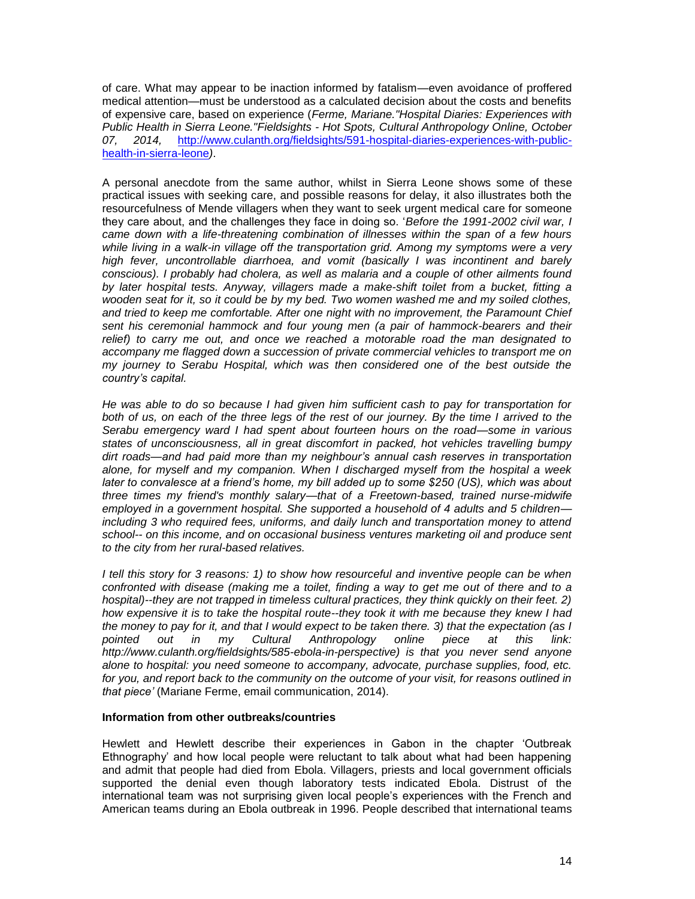of care. What may appear to be inaction informed by fatalism—even avoidance of proffered medical attention—must be understood as a calculated decision about the costs and benefits of expensive care, based on experience (*Ferme, Mariane."Hospital Diaries: Experiences with Public Health in Sierra Leone."Fieldsights - Hot Spots, Cultural Anthropology Online, October 07, 2014,* [http://www.culanth.org/fieldsights/591-hospital-diaries-experiences-with-public](http://www.culanth.org/fieldsights/591-hospital-diaries-experiences-with-public-health-in-sierra-leone)[health-in-sierra-leone](http://www.culanth.org/fieldsights/591-hospital-diaries-experiences-with-public-health-in-sierra-leone)*)*.

A personal anecdote from the same author, whilst in Sierra Leone shows some of these practical issues with seeking care, and possible reasons for delay, it also illustrates both the resourcefulness of Mende villagers when they want to seek urgent medical care for someone they care about, and the challenges they face in doing so. '*Before the 1991-2002 civil war, I came down with a life-threatening combination of illnesses within the span of a few hours while living in a walk-in village off the transportation grid. Among my symptoms were a very high fever, uncontrollable diarrhoea, and vomit (basically I was incontinent and barely conscious). I probably had cholera, as well as malaria and a couple of other ailments found by later hospital tests. Anyway, villagers made a make-shift toilet from a bucket, fitting a wooden seat for it, so it could be by my bed. Two women washed me and my soiled clothes, and tried to keep me comfortable. After one night with no improvement, the Paramount Chief sent his ceremonial hammock and four young men (a pair of hammock-bearers and their relief) to carry me out, and once we reached a motorable road the man designated to accompany me flagged down a succession of private commercial vehicles to transport me on my journey to Serabu Hospital, which was then considered one of the best outside the country's capital.*

*He was able to do so because I had given him sufficient cash to pay for transportation for both of us, on each of the three legs of the rest of our journey. By the time I arrived to the Serabu emergency ward I had spent about fourteen hours on the road—some in various states of unconsciousness, all in great discomfort in packed, hot vehicles travelling bumpy dirt roads—and had paid more than my neighbour's annual cash reserves in transportation alone, for myself and my companion. When I discharged myself from the hospital a week later to convalesce at a friend's home, my bill added up to some \$250 (US), which was about three times my friend's monthly salary—that of a Freetown-based, trained nurse-midwife employed in a government hospital. She supported a household of 4 adults and 5 children including 3 who required fees, uniforms, and daily lunch and transportation money to attend school-- on this income, and on occasional business ventures marketing oil and produce sent to the city from her rural-based relatives.* 

*I tell this story for 3 reasons: 1) to show how resourceful and inventive people can be when confronted with disease (making me a toilet, finding a way to get me out of there and to a*  hospital)--they are not trapped in timeless cultural practices, they think quickly on their feet. 2) *how expensive it is to take the hospital route--they took it with me because they knew I had the money to pay for it, and that I would expect to be taken there. 3) that the expectation (as I pointed out in my Cultural Anthropology online piece at this link: http://www.culanth.org/fieldsights/585-ebola-in-perspective) is that you never send anyone alone to hospital: you need someone to accompany, advocate, purchase supplies, food, etc. for you, and report back to the community on the outcome of your visit, for reasons outlined in that piece'* (Mariane Ferme, email communication, 2014).

## **Information from other outbreaks/countries**

Hewlett and Hewlett describe their experiences in Gabon in the chapter 'Outbreak Ethnography' and how local people were reluctant to talk about what had been happening and admit that people had died from Ebola. Villagers, priests and local government officials supported the denial even though laboratory tests indicated Ebola. Distrust of the international team was not surprising given local people's experiences with the French and American teams during an Ebola outbreak in 1996. People described that international teams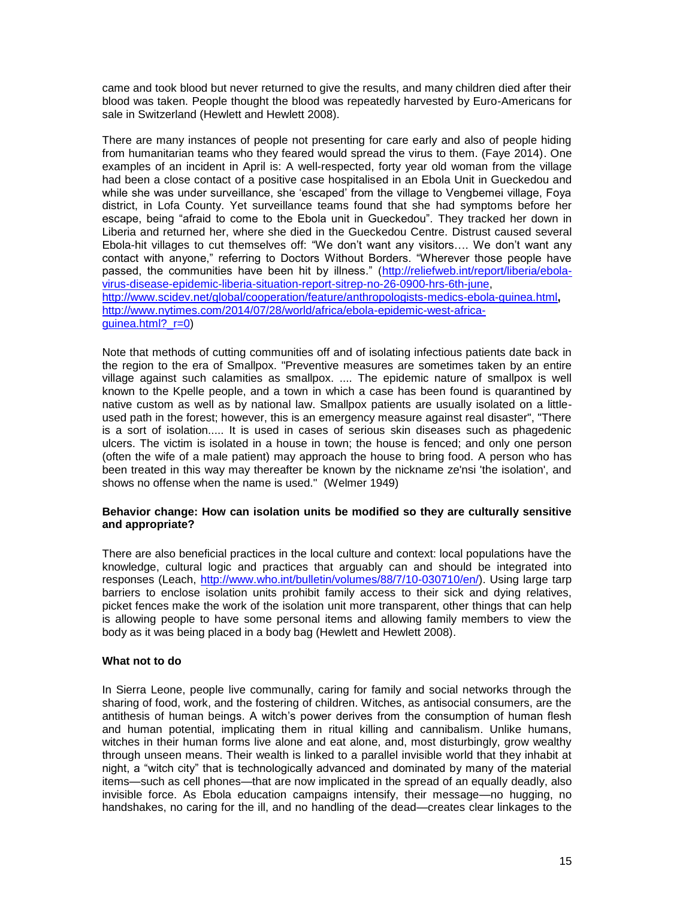came and took blood but never returned to give the results, and many children died after their blood was taken. People thought the blood was repeatedly harvested by Euro-Americans for sale in Switzerland (Hewlett and Hewlett 2008).

There are many instances of people not presenting for care early and also of people hiding from humanitarian teams who they feared would spread the virus to them. (Faye 2014). One examples of an incident in April is: A well-respected, forty year old woman from the village had been a close contact of a positive case hospitalised in an Ebola Unit in Gueckedou and while she was under surveillance, she 'escaped' from the village to Vengbemei village, Foya district, in Lofa County. Yet surveillance teams found that she had symptoms before her escape, being "afraid to come to the Ebola unit in Gueckedou". They tracked her down in Liberia and returned her, where she died in the Gueckedou Centre. Distrust caused several Ebola-hit villages to cut themselves off: "We don't want any visitors…. We don't want any contact with anyone," referring to Doctors Without Borders. "Wherever those people have passed, the communities have been hit by illness." [\(http://reliefweb.int/report/liberia/ebola](http://reliefweb.int/report/liberia/ebola-virus-disease-epidemic-liberia-situation-report-sitrep-no-26-0900-hrs-6th-june)[virus-disease-epidemic-liberia-situation-report-sitrep-no-26-0900-hrs-6th-june,](http://reliefweb.int/report/liberia/ebola-virus-disease-epidemic-liberia-situation-report-sitrep-no-26-0900-hrs-6th-june) <http://www.scidev.net/global/cooperation/feature/anthropologists-medics-ebola-guinea.html>**,**  [http://www.nytimes.com/2014/07/28/world/africa/ebola-epidemic-west-africa](http://www.nytimes.com/2014/07/28/world/africa/ebola-epidemic-west-africa-guinea.html?_r=0)[guinea.html?\\_r=0\)](http://www.nytimes.com/2014/07/28/world/africa/ebola-epidemic-west-africa-guinea.html?_r=0)

Note that methods of cutting communities off and of isolating infectious patients date back in the region to the era of Smallpox. "Preventive measures are sometimes taken by an entire village against such calamities as smallpox. .... The epidemic nature of smallpox is well known to the Kpelle people, and a town in which a case has been found is quarantined by native custom as well as by national law. Smallpox patients are usually isolated on a littleused path in the forest; however, this is an emergency measure against real disaster", "There is a sort of isolation..... It is used in cases of serious skin diseases such as phagedenic ulcers. The victim is isolated in a house in town; the house is fenced; and only one person (often the wife of a male patient) may approach the house to bring food. A person who has been treated in this way may thereafter be known by the nickname ze'nsi 'the isolation', and shows no offense when the name is used." (Welmer 1949)

## **Behavior change: How can isolation units be modified so they are culturally sensitive and appropriate?**

There are also beneficial practices in the local culture and context: local populations have the knowledge, cultural logic and practices that arguably can and should be integrated into responses (Leach, [http://www.who.int/bulletin/volumes/88/7/10-030710/en/\)](http://www.who.int/bulletin/volumes/88/7/10-030710/en/). Using large tarp barriers to enclose isolation units prohibit family access to their sick and dying relatives, picket fences make the work of the isolation unit more transparent, other things that can help is allowing people to have some personal items and allowing family members to view the body as it was being placed in a body bag (Hewlett and Hewlett 2008).

## **What not to do**

In Sierra Leone, people live communally, caring for family and social networks through the sharing of food, work, and the fostering of children. Witches, as antisocial consumers, are the antithesis of human beings. A witch's power derives from the consumption of human flesh and human potential, implicating them in ritual killing and cannibalism. Unlike humans, witches in their human forms live alone and eat alone, and, most disturbingly, grow wealthy through unseen means. Their wealth is linked to a parallel invisible world that they inhabit at night, a "witch city" that is technologically advanced and dominated by many of the material items—such as cell phones—that are now implicated in the spread of an equally deadly, also invisible force. As Ebola education campaigns intensify, their message—no hugging, no handshakes, no caring for the ill, and no handling of the dead—creates clear linkages to the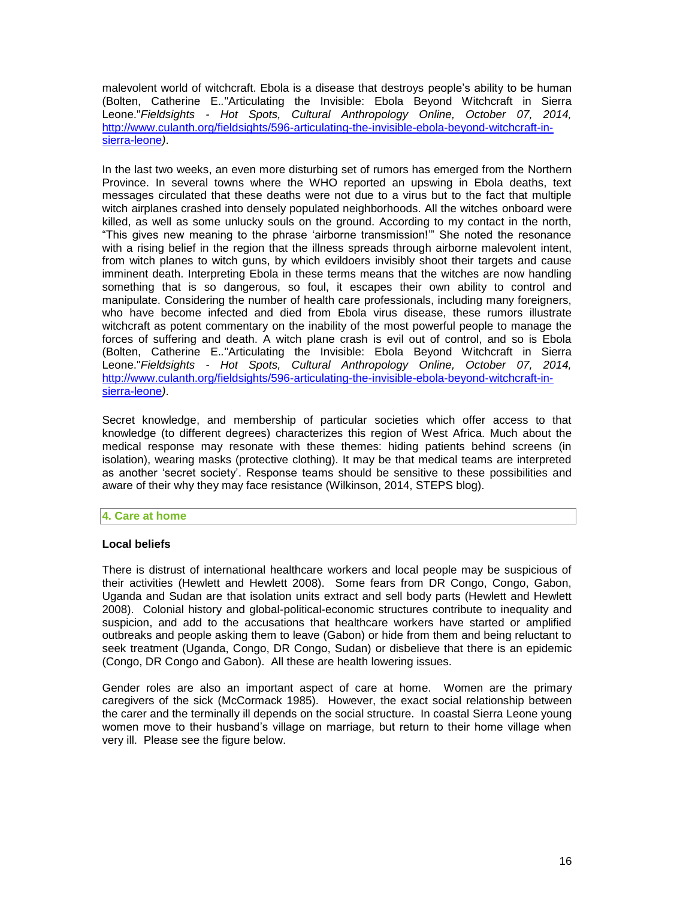malevolent world of witchcraft. Ebola is a disease that destroys people's ability to be human (Bolten, Catherine E.*.*"Articulating the Invisible: Ebola Beyond Witchcraft in Sierra Leone."*Fieldsights - Hot Spots, Cultural Anthropology Online, October 07, 2014,*  [http://www.culanth.org/fieldsights/596-articulating-the-invisible-ebola-beyond-witchcraft-in](http://www.culanth.org/fieldsights/596-articulating-the-invisible-ebola-beyond-witchcraft-in-sierra-leone)[sierra-leone](http://www.culanth.org/fieldsights/596-articulating-the-invisible-ebola-beyond-witchcraft-in-sierra-leone)*)*.

In the last two weeks, an even more disturbing set of rumors has emerged from the Northern Province. In several towns where the WHO reported an upswing in Ebola deaths, text messages circulated that these deaths were not due to a virus but to the fact that multiple witch airplanes crashed into densely populated neighborhoods. All the witches onboard were killed, as well as some unlucky souls on the ground. According to my contact in the north, "This gives new meaning to the phrase 'airborne transmission!'" She noted the resonance with a rising belief in the region that the illness spreads through airborne malevolent intent, from witch planes to witch guns, by which evildoers invisibly shoot their targets and cause imminent death. Interpreting Ebola in these terms means that the witches are now handling something that is so dangerous, so foul, it escapes their own ability to control and manipulate. Considering the number of health care professionals, including many foreigners, who have become [infected and died](http://america.aljazeera.com/articles/2014/8/27/ebola-has-upper-hand.html) from Ebola virus disease, these rumors illustrate witchcraft as potent commentary on the inability of the most powerful people to manage the forces of suffering and death. A witch plane crash is evil out of control, and so is Ebola (Bolten, Catherine E.*.*"Articulating the Invisible: Ebola Beyond Witchcraft in Sierra Leone."*Fieldsights - Hot Spots, Cultural Anthropology Online, October 07, 2014,*  [http://www.culanth.org/fieldsights/596-articulating-the-invisible-ebola-beyond-witchcraft-in](http://www.culanth.org/fieldsights/596-articulating-the-invisible-ebola-beyond-witchcraft-in-sierra-leone)[sierra-leone](http://www.culanth.org/fieldsights/596-articulating-the-invisible-ebola-beyond-witchcraft-in-sierra-leone)*)*.

Secret knowledge, and membership of particular societies which offer access to that knowledge (to different degrees) characterizes this region of West Africa. Much about the medical response may resonate with these themes: hiding patients behind screens (in isolation), wearing masks (protective clothing). It may be that medical teams are interpreted as another 'secret society'. Response teams should be sensitive to these possibilities and aware of their why they may face resistance (Wilkinson, 2014, STEPS blog).

## **4. Care at home**

## **Local beliefs**

There is distrust of international healthcare workers and local people may be suspicious of their activities (Hewlett and Hewlett 2008). Some fears from DR Congo, Congo, Gabon, Uganda and Sudan are that isolation units extract and sell body parts (Hewlett and Hewlett 2008). Colonial history and global-political-economic structures contribute to inequality and suspicion, and add to the accusations that healthcare workers have started or amplified outbreaks and people asking them to leave (Gabon) or hide from them and being reluctant to seek treatment (Uganda, Congo, DR Congo, Sudan) or disbelieve that there is an epidemic (Congo, DR Congo and Gabon). All these are health lowering issues.

Gender roles are also an important aspect of care at home. Women are the primary caregivers of the sick (McCormack 1985). However, the exact social relationship between the carer and the terminally ill depends on the social structure. In coastal Sierra Leone young women move to their husband's village on marriage, but return to their home village when very ill. Please see the figure below.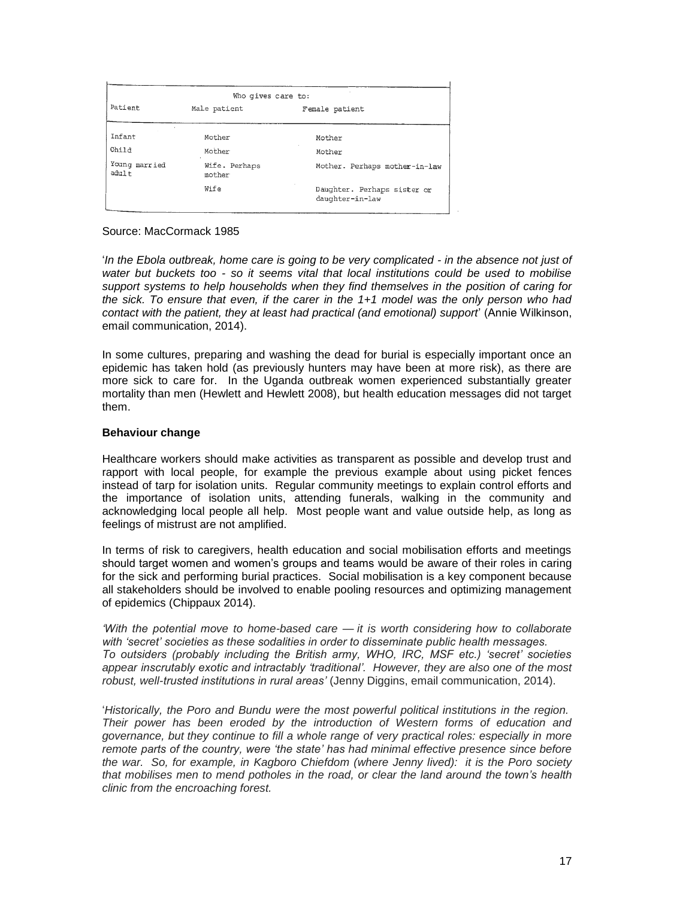| Who gives care to:     |                         |                                                |
|------------------------|-------------------------|------------------------------------------------|
| Patient                | Male patient            | Female patient                                 |
| Infant                 | Mother                  | Mother                                         |
| Child                  | Mother                  | Mother                                         |
| Young married<br>adult | Wife. Perhaps<br>mother | Mother. Perhaps mother-in-law                  |
|                        | Wife                    | Daughter. Perhaps sister or<br>daughter-in-law |

Source: MacCormack 1985

'*In the Ebola outbreak, home care is going to be very complicated - in the absence not just of water but buckets too - so it seems vital that local institutions could be used to mobilise support systems to help households when they find themselves in the position of caring for the sick. To ensure that even, if the carer in the 1+1 model was the only person who had contact with the patient, they at least had practical (and emotional) support*' (Annie Wilkinson, email communication, 2014).

In some cultures, preparing and washing the dead for burial is especially important once an epidemic has taken hold (as previously hunters may have been at more risk), as there are more sick to care for. In the Uganda outbreak women experienced substantially greater mortality than men (Hewlett and Hewlett 2008), but health education messages did not target them.

## **Behaviour change**

Healthcare workers should make activities as transparent as possible and develop trust and rapport with local people, for example the previous example about using picket fences instead of tarp for isolation units. Regular community meetings to explain control efforts and the importance of isolation units, attending funerals, walking in the community and acknowledging local people all help. Most people want and value outside help, as long as feelings of mistrust are not amplified.

In terms of risk to caregivers, health education and social mobilisation efforts and meetings should target women and women's groups and teams would be aware of their roles in caring for the sick and performing burial practices. Social mobilisation is a key component because all stakeholders should be involved to enable pooling resources and optimizing management of epidemics (Chippaux 2014).

*'With the potential move to home-based care — it is worth considering how to collaborate with 'secret' societies as these sodalities in order to disseminate public health messages. To outsiders (probably including the British army, WHO, IRC, MSF etc.) 'secret' societies appear inscrutably exotic and intractably 'traditional'. However, they are also one of the most robust, well-trusted institutions in rural areas'* (Jenny Diggins, email communication, 2014).

'*Historically, the Poro and Bundu were the most powerful political institutions in the region. Their power has been eroded by the introduction of Western forms of education and governance, but they continue to fill a whole range of very practical roles: especially in more remote parts of the country, were 'the state' has had minimal effective presence since before the war. So, for example, in Kagboro Chiefdom (where Jenny lived): it is the Poro society that mobilises men to mend potholes in the road, or clear the land around the town's health clinic from the encroaching forest.*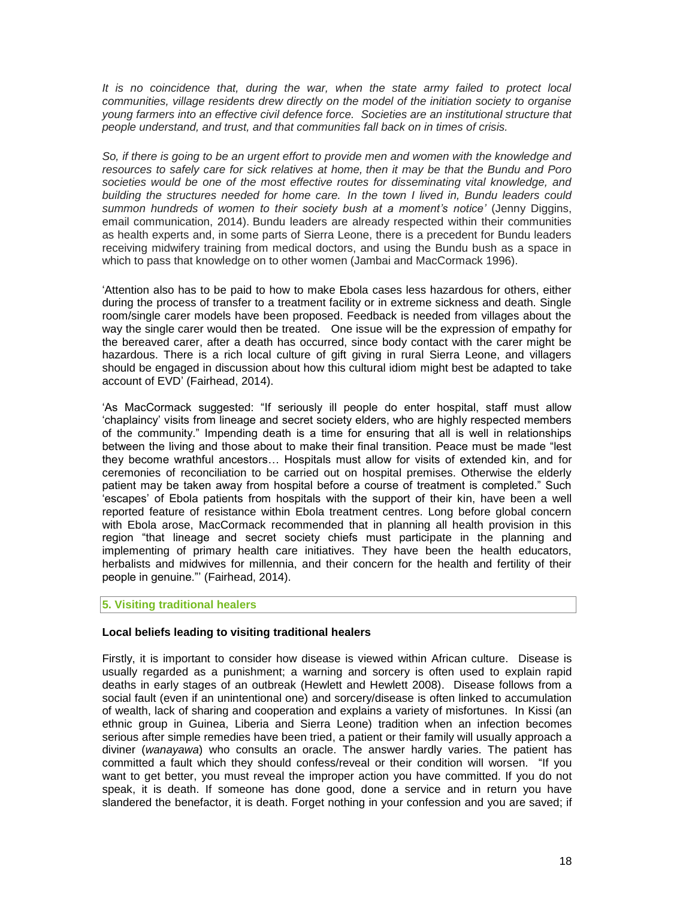*It is no coincidence that, during the war, when the state army failed to protect local communities, village residents drew directly on the model of the initiation society to organise young farmers into an effective civil defence force. Societies are an institutional structure that people understand, and trust, and that communities fall back on in times of crisis.*

*So, if there is going to be an urgent effort to provide men and women with the knowledge and resources to safely care for sick relatives at home, then it may be that the Bundu and Poro societies would be one of the most effective routes for disseminating vital knowledge, and building the structures needed for home care. In the town I lived in, Bundu leaders could summon hundreds of women to their society bush at a moment's notice'* (Jenny Diggins, email communication, 2014). Bundu leaders are already respected within their communities as health experts and, in some parts of Sierra Leone, there is a precedent for Bundu leaders receiving midwifery training from medical doctors, and using the Bundu bush as a space in which to pass that knowledge on to other women (Jambai and MacCormack 1996).

'Attention also has to be paid to how to make Ebola cases less hazardous for others, either during the process of transfer to a treatment facility or in extreme sickness and death. Single room/single carer models have been proposed. Feedback is needed from villages about the way the single carer would then be treated. One issue will be the expression of empathy for the bereaved carer, after a death has occurred, since body contact with the carer might be hazardous. There is a rich local culture of gift giving in rural Sierra Leone, and villagers should be engaged in discussion about how this cultural idiom might best be adapted to take account of EVD' (Fairhead, 2014).

'As MacCormack suggested: "If seriously ill people do enter hospital, staff must allow 'chaplaincy' visits from lineage and secret society elders, who are highly respected members of the community." Impending death is a time for ensuring that all is well in relationships between the living and those about to make their final transition. Peace must be made "lest they become wrathful ancestors… Hospitals must allow for visits of extended kin, and for ceremonies of reconciliation to be carried out on hospital premises. Otherwise the elderly patient may be taken away from hospital before a course of treatment is completed." Such 'escapes' of Ebola patients from hospitals with the support of their kin, have been a well reported feature of resistance within Ebola treatment centres. Long before global concern with Ebola arose, MacCormack recommended that in planning all health provision in this region "that lineage and secret society chiefs must participate in the planning and implementing of primary health care initiatives. They have been the health educators, herbalists and midwives for millennia, and their concern for the health and fertility of their people in genuine."' (Fairhead, 2014).

#### **5. Visiting traditional healers**

## **Local beliefs leading to visiting traditional healers**

Firstly, it is important to consider how disease is viewed within African culture. Disease is usually regarded as a punishment; a warning and sorcery is often used to explain rapid deaths in early stages of an outbreak (Hewlett and Hewlett 2008). Disease follows from a social fault (even if an unintentional one) and sorcery/disease is often linked to accumulation of wealth, lack of sharing and cooperation and explains a variety of misfortunes. In Kissi (an ethnic group in Guinea, Liberia and Sierra Leone) tradition when an infection becomes serious after simple remedies have been tried, a patient or their family will usually approach a diviner (*wanayawa*) who consults an oracle. The answer hardly varies. The patient has committed a fault which they should confess/reveal or their condition will worsen. "If you want to get better, you must reveal the improper action you have committed. If you do not speak, it is death. If someone has done good, done a service and in return you have slandered the benefactor, it is death. Forget nothing in your confession and you are saved; if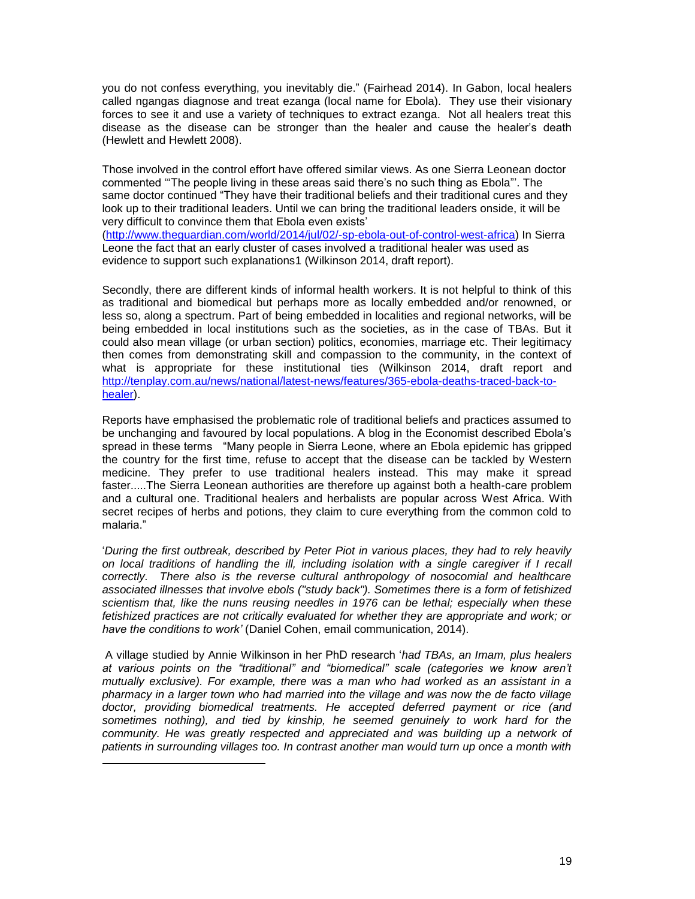you do not confess everything, you inevitably die." (Fairhead 2014). In Gabon, local healers called ngangas diagnose and treat ezanga (local name for Ebola). They use their visionary forces to see it and use a variety of techniques to extract ezanga. Not all healers treat this disease as the disease can be stronger than the healer and cause the healer's death (Hewlett and Hewlett 2008).

Those involved in the control effort have offered similar views. As one Sierra Leonean doctor commented '"The people living in these areas said there's no such thing as Ebola"'. The same doctor continued "They have their traditional beliefs and their traditional cures and they look up to their traditional leaders. Until we can bring the traditional leaders onside, it will be very difficult to convince them that Ebola even exists' [\(http://www.theguardian.com/world/2014/jul/02/-sp-ebola-out-of-control-west-africa\)](http://www.theguardian.com/world/2014/jul/02/-sp-ebola-out-of-control-west-africa) In Sierra Leone the fact that an early cluster of cases involved a traditional healer was used as

evidence to support such explanations1 (Wilkinson 2014, draft report).

Secondly, there are different kinds of informal health workers. It is not helpful to think of this as traditional and biomedical but perhaps more as locally embedded and/or renowned, or less so, along a spectrum. Part of being embedded in localities and regional networks, will be being embedded in local institutions such as the societies, as in the case of TBAs. But it could also mean village (or urban section) politics, economies, marriage etc. Their legitimacy then comes from demonstrating skill and compassion to the community, in the context of what is appropriate for these institutional ties (Wilkinson 2014, draft report and [http://tenplay.com.au/news/national/latest-news/features/365-ebola-deaths-traced-back-to](http://tenplay.com.au/news/national/latest-news/features/365-ebola-deaths-traced-back-to-healer)[healer\)](http://tenplay.com.au/news/national/latest-news/features/365-ebola-deaths-traced-back-to-healer).

Reports have emphasised the problematic role of traditional beliefs and practices assumed to be unchanging and favoured by local populations. A blog in the Economist described Ebola's spread in these terms "Many people in Sierra Leone, where an Ebola epidemic has gripped the country for the first time, refuse to accept that the disease can be tackled by Western medicine. They prefer to use traditional healers instead. This may make it spread faster.....The Sierra Leonean authorities are therefore up against both a health-care problem and a cultural one. Traditional healers and herbalists are popular across West Africa. With secret recipes of herbs and potions, they claim to cure everything from the common cold to malaria."

'*During the first outbreak, described by Peter Piot in various places, they had to rely heavily on local traditions of handling the ill, including isolation with a single caregiver if I recall correctly. There also is the reverse cultural anthropology of nosocomial and healthcare associated illnesses that involve ebols ("study back"). Sometimes there is a form of fetishized scientism that, like the nuns reusing needles in 1976 can be lethal; especially when these fetishized practices are not critically evaluated for whether they are appropriate and work; or have the conditions to work'* (Daniel Cohen, email communication, 2014).

A village studied by Annie Wilkinson in her PhD research '*had TBAs, an Imam, plus healers at various points on the "traditional" and "biomedical" scale (categories we know aren't mutually exclusive). For example, there was a man who had worked as an assistant in a pharmacy in a larger town who had married into the village and was now the de facto village doctor, providing biomedical treatments. He accepted deferred payment or rice (and sometimes nothing), and tied by kinship, he seemed genuinely to work hard for the community. He was greatly respected and appreciated and was building up a network of patients in surrounding villages too. In contrast another man would turn up once a month with* 

 $\overline{a}$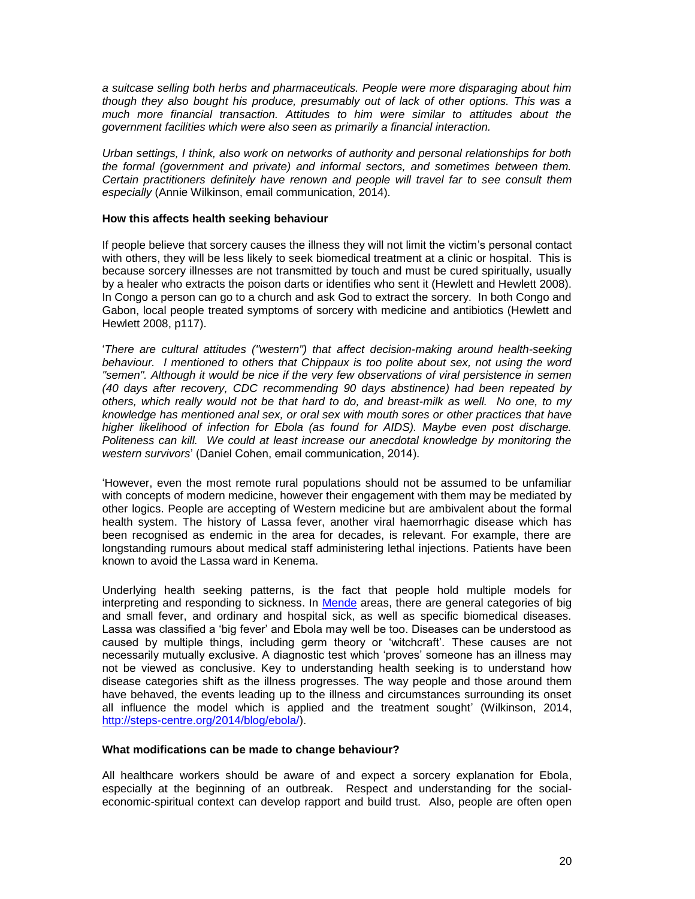*a suitcase selling both herbs and pharmaceuticals. People were more disparaging about him though they also bought his produce, presumably out of lack of other options. This was a much more financial transaction. Attitudes to him were similar to attitudes about the government facilities which were also seen as primarily a financial interaction.* 

*Urban settings, I think, also work on networks of authority and personal relationships for both the formal (government and private) and informal sectors, and sometimes between them. Certain practitioners definitely have renown and people will travel far to see consult them especially* (Annie Wilkinson, email communication, 2014)*.* 

### **How this affects health seeking behaviour**

If people believe that sorcery causes the illness they will not limit the victim's personal contact with others, they will be less likely to seek biomedical treatment at a clinic or hospital. This is because sorcery illnesses are not transmitted by touch and must be cured spiritually, usually by a healer who extracts the poison darts or identifies who sent it (Hewlett and Hewlett 2008). In Congo a person can go to a church and ask God to extract the sorcery. In both Congo and Gabon, local people treated symptoms of sorcery with medicine and antibiotics (Hewlett and Hewlett 2008, p117).

'*There are cultural attitudes ("western") that affect decision-making around health-seeking behaviour. I mentioned to others that Chippaux is too polite about sex, not using the word "semen". Although it would be nice if the very few observations of viral persistence in semen (40 days after recovery, CDC recommending 90 days abstinence) had been repeated by others, which really would not be that hard to do, and breast-milk as well. No one, to my knowledge has mentioned anal sex, or oral sex with mouth sores or other practices that have higher likelihood of infection for Ebola (as found for AIDS). Maybe even post discharge. Politeness can kill. We could at least increase our anecdotal knowledge by monitoring the western survivors*' (Daniel Cohen, email communication, 2014).

'However, even the most remote rural populations should not be assumed to be unfamiliar with concepts of modern medicine, however their engagement with them may be mediated by other logics. People are accepting of Western medicine but are ambivalent about the formal health system. The history of Lassa fever, another viral haemorrhagic disease which has been recognised as endemic in the area for decades, is relevant. For example, there are longstanding rumours about medical staff administering lethal injections. Patients have been known to avoid the Lassa ward in Kenema.

Underlying health seeking patterns, is the fact that people hold multiple models for interpreting and responding to sickness. In [Mende](http://en.wikipedia.org/wiki/Mende_people) areas, there are general categories of big and small fever, and ordinary and hospital sick, as well as specific biomedical diseases. Lassa was classified a 'big fever' and Ebola may well be too. Diseases can be understood as caused by multiple things, including germ theory or 'witchcraft'. These causes are not necessarily mutually exclusive. A diagnostic test which 'proves' someone has an illness may not be viewed as conclusive. Key to understanding health seeking is to understand how disease categories shift as the illness progresses. The way people and those around them have behaved, the events leading up to the illness and circumstances surrounding its onset all influence the model which is applied and the treatment sought' (Wilkinson, 2014, [http://steps-centre.org/2014/blog/ebola/\)](http://steps-centre.org/2014/blog/ebola/).

#### **What modifications can be made to change behaviour?**

All healthcare workers should be aware of and expect a sorcery explanation for Ebola, especially at the beginning of an outbreak. Respect and understanding for the socialeconomic-spiritual context can develop rapport and build trust. Also, people are often open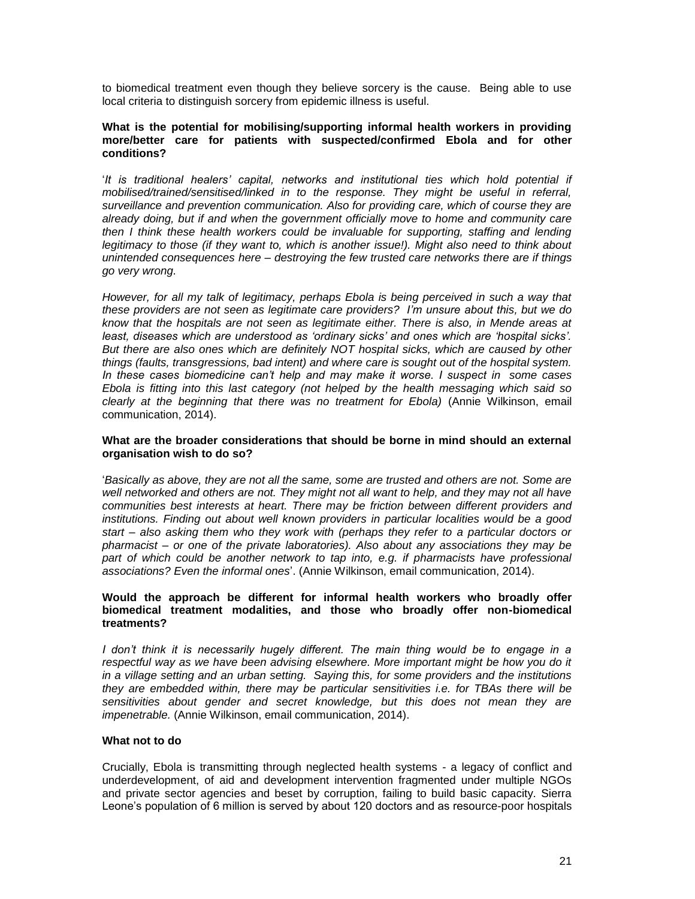to biomedical treatment even though they believe sorcery is the cause. Being able to use local criteria to distinguish sorcery from epidemic illness is useful.

### **What is the potential for mobilising/supporting informal health workers in providing more/better care for patients with suspected/confirmed Ebola and for other conditions?**

'*It is traditional healers' capital, networks and institutional ties which hold potential if mobilised/trained/sensitised/linked in to the response. They might be useful in referral, surveillance and prevention communication. Also for providing care, which of course they are already doing, but if and when the government officially move to home and community care then I think these health workers could be invaluable for supporting, staffing and lending legitimacy to those (if they want to, which is another issue!). Might also need to think about unintended consequences here – destroying the few trusted care networks there are if things go very wrong.*

However, for all my talk of legitimacy, perhaps Ebola is being perceived in such a way that *these providers are not seen as legitimate care providers? I'm unsure about this, but we do know that the hospitals are not seen as legitimate either. There is also, in Mende areas at*  least, diseases which are understood as 'ordinary sicks' and ones which are 'hospital sicks'. *But there are also ones which are definitely NOT hospital sicks, which are caused by other things (faults, transgressions, bad intent) and where care is sought out of the hospital system. In these cases biomedicine can't help and may make it worse. I suspect in some cases Ebola is fitting into this last category (not helped by the health messaging which said so clearly at the beginning that there was no treatment for Ebola)* (Annie Wilkinson, email communication, 2014).

### **What are the broader considerations that should be borne in mind should an external organisation wish to do so?**

'*Basically as above, they are not all the same, some are trusted and others are not. Some are well networked and others are not. They might not all want to help, and they may not all have communities best interests at heart. There may be friction between different providers and institutions. Finding out about well known providers in particular localities would be a good start – also asking them who they work with (perhaps they refer to a particular doctors or pharmacist – or one of the private laboratories). Also about any associations they may be*  part of which could be another network to tap into, e.g. if pharmacists have professional *associations? Even the informal ones*'. (Annie Wilkinson, email communication, 2014).

### **Would the approach be different for informal health workers who broadly offer biomedical treatment modalities, and those who broadly offer non-biomedical treatments?**

*I don't think it is necessarily hugely different. The main thing would be to engage in a respectful way as we have been advising elsewhere. More important might be how you do it in a village setting and an urban setting. Saying this, for some providers and the institutions they are embedded within, there may be particular sensitivities i.e. for TBAs there will be sensitivities about gender and secret knowledge, but this does not mean they are impenetrable.* (Annie Wilkinson, email communication, 2014).

### **What not to do**

Crucially, Ebola is transmitting through neglected health systems - a legacy of conflict and underdevelopment, of aid and development intervention fragmented under multiple NGOs and private sector agencies and beset by corruption, failing to build basic capacity. Sierra Leone's population of 6 million is served by about 120 doctors and as resource-poor hospitals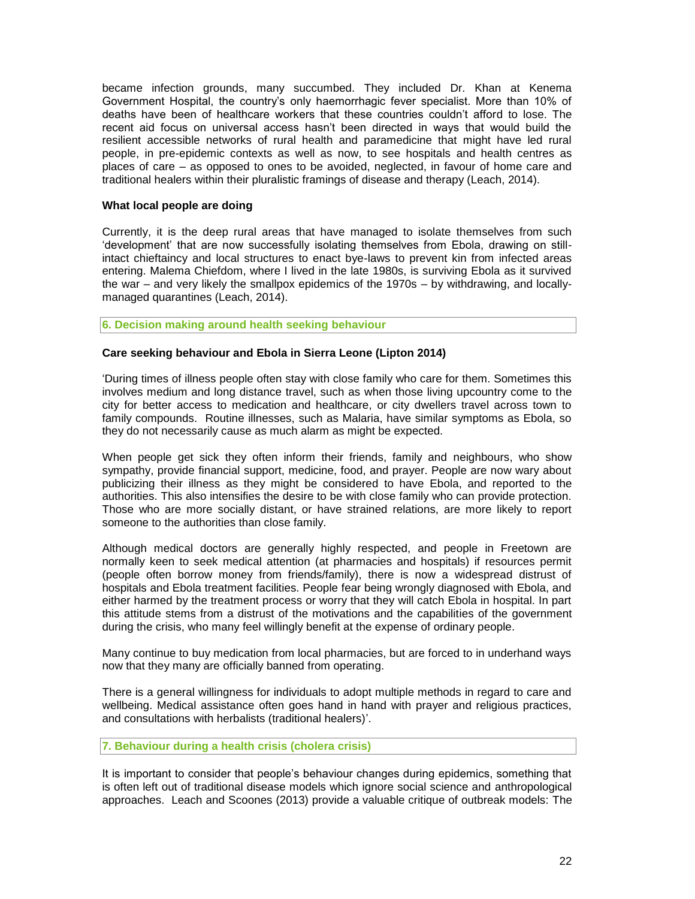became infection grounds, many succumbed. They included Dr. Khan at Kenema Government Hospital, the country's only haemorrhagic fever specialist. More than 10% of deaths have been of healthcare workers that these countries couldn't afford to lose. The recent aid focus on universal access hasn't been directed in ways that would build the resilient accessible networks of rural health and paramedicine that might have led rural people, in pre-epidemic contexts as well as now, to see hospitals and health centres as places of care – as opposed to ones to be avoided, neglected, in favour of home care and traditional healers within their pluralistic framings of disease and therapy (Leach, 2014).

## **What local people are doing**

Currently, it is the deep rural areas that have managed to isolate themselves from such 'development' that are now successfully isolating themselves from Ebola, drawing on stillintact chieftaincy and local structures to enact bye-laws to prevent kin from infected areas entering. Malema Chiefdom, where I lived in the late 1980s, is surviving Ebola as it survived the war – and very likely the smallpox epidemics of the 1970s – by withdrawing, and locallymanaged quarantines (Leach, 2014).

## **6. Decision making around health seeking behaviour**

# **Care seeking behaviour and Ebola in Sierra Leone (Lipton 2014)**

'During times of illness people often stay with close family who care for them. Sometimes this involves medium and long distance travel, such as when those living upcountry come to the city for better access to medication and healthcare, or city dwellers travel across town to family compounds. Routine illnesses, such as Malaria, have similar symptoms as Ebola, so they do not necessarily cause as much alarm as might be expected.

When people get sick they often inform their friends, family and neighbours, who show sympathy, provide financial support, medicine, food, and prayer. People are now wary about publicizing their illness as they might be considered to have Ebola, and reported to the authorities. This also intensifies the desire to be with close family who can provide protection. Those who are more socially distant, or have strained relations, are more likely to report someone to the authorities than close family.

Although medical doctors are generally highly respected, and people in Freetown are normally keen to seek medical attention (at pharmacies and hospitals) if resources permit (people often borrow money from friends/family), there is now a widespread distrust of hospitals and Ebola treatment facilities. People fear being wrongly diagnosed with Ebola, and either harmed by the treatment process or worry that they will catch Ebola in hospital. In part this attitude stems from a distrust of the motivations and the capabilities of the government during the crisis, who many feel willingly benefit at the expense of ordinary people.

Many continue to buy medication from local pharmacies, but are forced to in underhand ways now that they many are officially banned from operating.

There is a general willingness for individuals to adopt multiple methods in regard to care and wellbeing. Medical assistance often goes hand in hand with prayer and religious practices, and consultations with herbalists (traditional healers)'.

### **7. Behaviour during a health crisis (cholera crisis)**

It is important to consider that people's behaviour changes during epidemics, something that is often left out of traditional disease models which ignore social science and anthropological approaches. Leach and Scoones (2013) provide a valuable critique of outbreak models: The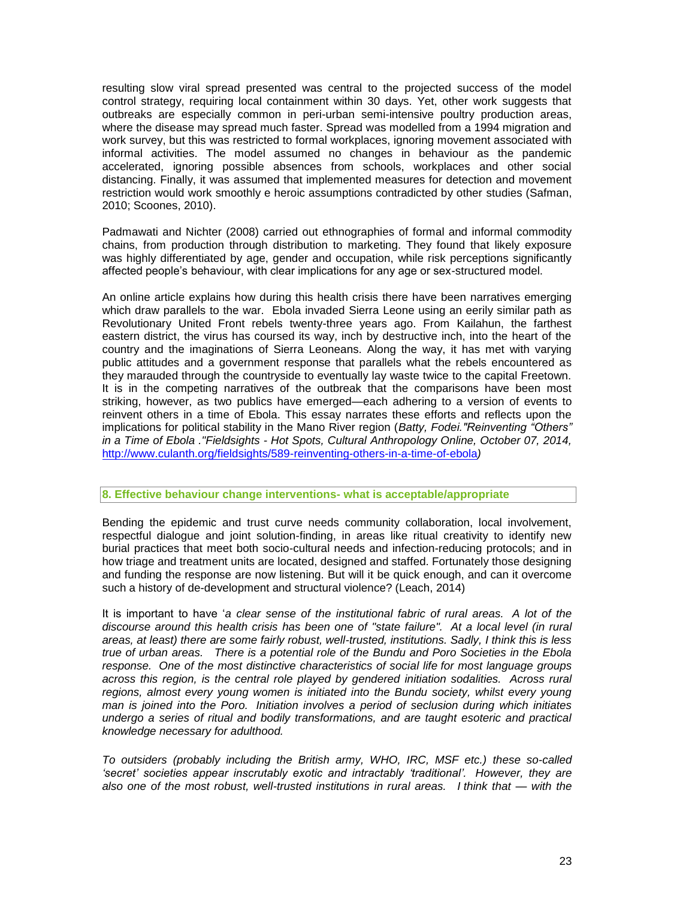resulting slow viral spread presented was central to the projected success of the model control strategy, requiring local containment within 30 days. Yet, other work suggests that outbreaks are especially common in peri-urban semi-intensive poultry production areas, where the disease may spread much faster. Spread was modelled from a 1994 migration and work survey, but this was restricted to formal workplaces, ignoring movement associated with informal activities. The model assumed no changes in behaviour as the pandemic accelerated, ignoring possible absences from schools, workplaces and other social distancing. Finally, it was assumed that implemented measures for detection and movement restriction would work smoothly e heroic assumptions contradicted by other studies (Safman, 2010; Scoones, 2010).

Padmawati and Nichter (2008) carried out ethnographies of formal and informal commodity chains, from production through distribution to marketing. They found that likely exposure was highly differentiated by age, gender and occupation, while risk perceptions significantly affected people's behaviour, with clear implications for any age or sex-structured model.

An online article explains how during this health crisis there have been narratives emerging which draw parallels to the war. Ebola invaded Sierra Leone using an eerily similar path as Revolutionary United Front rebels twenty-three years ago. From Kailahun, the farthest eastern district, the virus has coursed its way, inch by destructive inch, into the heart of the country and the imaginations of Sierra Leoneans. Along the way, it has met with varying public attitudes and a government response that parallels what the rebels encountered as they marauded through the countryside to eventually lay waste twice to the capital Freetown. It is in the competing narratives of the outbreak that the comparisons have been most striking, however, as two publics have emerged—each adhering to a version of events to reinvent others in a time of Ebola. This essay narrates these efforts and reflects upon the implications for political stability in the Mano River region (*Batty, Fodei."Reinventing "Others" in a Time of Ebola ."Fieldsights - Hot Spots, Cultural Anthropology Online, October 07, 2014,*  <http://www.culanth.org/fieldsights/589-reinventing-others-in-a-time-of-ebola>*)*

#### **8. Effective behaviour change interventions- what is acceptable/appropriate**

Bending the epidemic and trust curve needs community collaboration, local involvement, respectful dialogue and joint solution-finding, in areas like ritual creativity to identify new burial practices that meet both socio-cultural needs and infection-reducing protocols; and in how triage and treatment units are located, designed and staffed. Fortunately those designing and funding the response are now listening. But will it be quick enough, and can it overcome such a history of de-development and structural violence? (Leach, 2014)

It is important to have '*a clear sense of the institutional fabric of rural areas. A lot of the discourse around this health crisis has been one of "state failure". At a local level (in rural areas, at least) there are some fairly robust, well-trusted, institutions. Sadly, I think this is less true of urban areas. There is a potential role of the Bundu and Poro Societies in the Ebola response. One of the most distinctive characteristics of social life for most language groups across this region, is the central role played by gendered initiation sodalities. Across rural*  regions, almost every young women is initiated into the Bundu society, whilst every young *man is joined into the Poro. Initiation involves a period of seclusion during which initiates undergo a series of ritual and bodily transformations, and are taught esoteric and practical knowledge necessary for adulthood.*

*To outsiders (probably including the British army, WHO, IRC, MSF etc.) these so-called 'secret' societies appear inscrutably exotic and intractably 'traditional'. However, they are also one of the most robust, well-trusted institutions in rural areas. I think that — with the*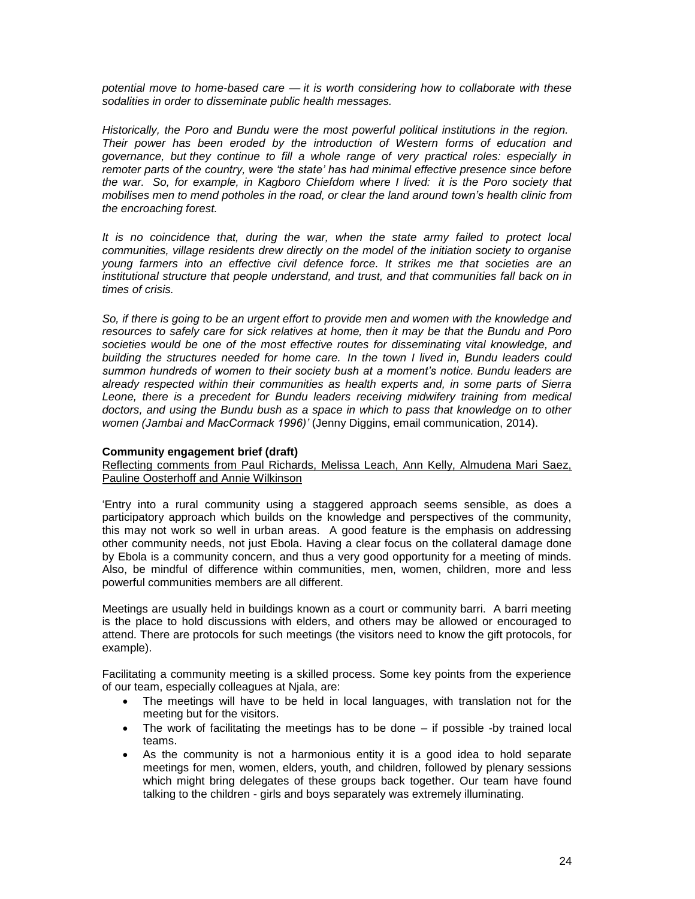*potential move to home-based care — it is worth considering how to collaborate with these sodalities in order to disseminate public health messages.*

*Historically, the Poro and Bundu were the most powerful political institutions in the region. Their power has been eroded by the introduction of Western forms of education and governance, but they continue to fill a whole range of very practical roles: especially in remoter parts of the country, were 'the state' has had minimal effective presence since before the war. So, for example, in Kagboro Chiefdom where I lived: it is the Poro society that mobilises men to mend potholes in the road, or clear the land around town's health clinic from the encroaching forest.*

*It is no coincidence that, during the war, when the state army failed to protect local communities, village residents drew directly on the model of the initiation society to organise young farmers into an effective civil defence force. It strikes me that societies are an institutional structure that people understand, and trust, and that communities fall back on in times of crisis.*

*So, if there is going to be an urgent effort to provide men and women with the knowledge and resources to safely care for sick relatives at home, then it may be that the Bundu and Poro societies would be one of the most effective routes for disseminating vital knowledge, and building the structures needed for home care. In the town I lived in, Bundu leaders could summon hundreds of women to their society bush at a moment's notice. Bundu leaders are already respected within their communities as health experts and, in some parts of Sierra*  Leone, there is a precedent for Bundu leaders receiving midwifery training from medical *doctors, and using the Bundu bush as a space in which to pass that knowledge on to other women (Jambai and MacCormack 1996)'* (Jenny Diggins, email communication, 2014).

#### **Community engagement brief (draft)**

Reflecting comments from Paul Richards, Melissa Leach, Ann Kelly, Almudena Mari Saez, Pauline Oosterhoff and Annie Wilkinson

'Entry into a rural community using a staggered approach seems sensible, as does a participatory approach which builds on the knowledge and perspectives of the community, this may not work so well in urban areas. A good feature is the emphasis on addressing other community needs, not just Ebola. Having a clear focus on the collateral damage done by Ebola is a community concern, and thus a very good opportunity for a meeting of minds. Also, be mindful of difference within communities, men, women, children, more and less powerful communities members are all different.

Meetings are usually held in buildings known as a court or community barri. A barri meeting is the place to hold discussions with elders, and others may be allowed or encouraged to attend. There are protocols for such meetings (the visitors need to know the gift protocols, for example).

Facilitating a community meeting is a skilled process. Some key points from the experience of our team, especially colleagues at Njala, are:

- The meetings will have to be held in local languages, with translation not for the meeting but for the visitors.
- The work of facilitating the meetings has to be done if possible -by trained local teams.
- As the community is not a harmonious entity it is a good idea to hold separate meetings for men, women, elders, youth, and children, followed by plenary sessions which might bring delegates of these groups back together. Our team have found talking to the children - girls and boys separately was extremely illuminating.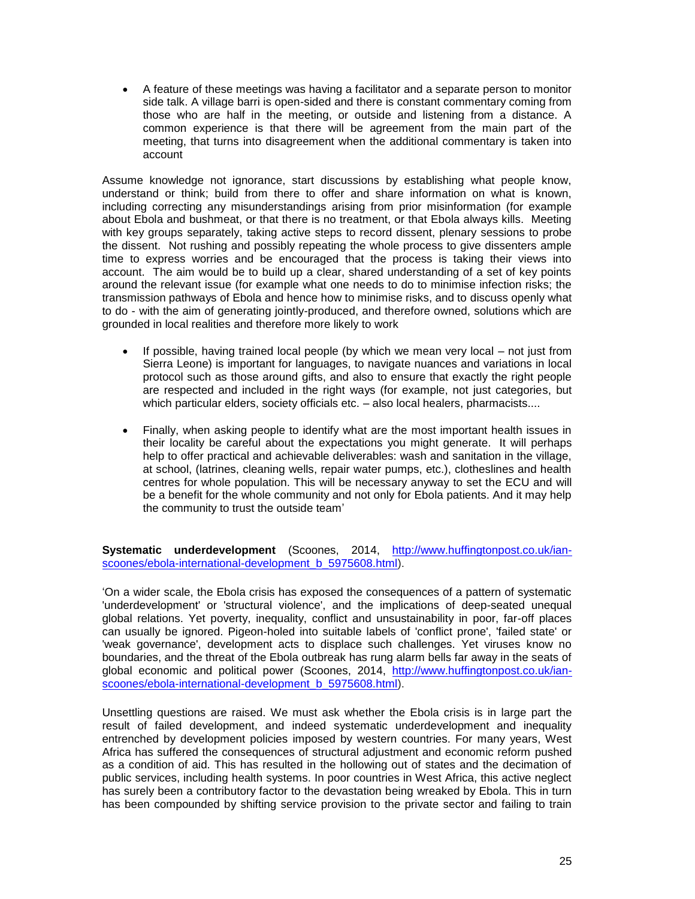A feature of these meetings was having a facilitator and a separate person to monitor side talk. A village barri is open-sided and there is constant commentary coming from those who are half in the meeting, or outside and listening from a distance. A common experience is that there will be agreement from the main part of the meeting, that turns into disagreement when the additional commentary is taken into account

Assume knowledge not ignorance, start discussions by establishing what people know, understand or think; build from there to offer and share information on what is known, including correcting any misunderstandings arising from prior misinformation (for example about Ebola and bushmeat, or that there is no treatment, or that Ebola always kills. Meeting with key groups separately, taking active steps to record dissent, plenary sessions to probe the dissent. Not rushing and possibly repeating the whole process to give dissenters ample time to express worries and be encouraged that the process is taking their views into account. The aim would be to build up a clear, shared understanding of a set of key points around the relevant issue (for example what one needs to do to minimise infection risks; the transmission pathways of Ebola and hence how to minimise risks, and to discuss openly what to do - with the aim of generating jointly-produced, and therefore owned, solutions which are grounded in local realities and therefore more likely to work

- If possible, having trained local people (by which we mean very local not just from Sierra Leone) is important for languages, to navigate nuances and variations in local protocol such as those around gifts, and also to ensure that exactly the right people are respected and included in the right ways (for example, not just categories, but which particular elders, society officials etc. – also local healers, pharmacists....
- Finally, when asking people to identify what are the most important health issues in their locality be careful about the expectations you might generate. It will perhaps help to offer practical and achievable deliverables: wash and sanitation in the village, at school, (latrines, cleaning wells, repair water pumps, etc.), clotheslines and health centres for whole population. This will be necessary anyway to set the ECU and will be a benefit for the whole community and not only for Ebola patients. And it may help the community to trust the outside team'

**Systematic underdevelopment** (Scoones, 2014, [http://www.huffingtonpost.co.uk/ian](http://www.huffingtonpost.co.uk/ian-scoones/ebola-international-development_b_5975608.html)[scoones/ebola-international-development\\_b\\_5975608.html\)](http://www.huffingtonpost.co.uk/ian-scoones/ebola-international-development_b_5975608.html).

'On a wider scale, the Ebola crisis has exposed the consequences of a pattern of systematic 'underdevelopment' or 'structural violence', and the implications of deep-seated unequal global relations. Yet poverty, inequality, conflict and unsustainability in poor, far-off places can usually be ignored. Pigeon-holed into suitable labels of 'conflict prone', 'failed state' or 'weak governance', development acts to displace such challenges. Yet viruses know no boundaries, and the threat of the Ebola outbreak has rung alarm bells far away in the seats of global economic and political power (Scoones, 2014, [http://www.huffingtonpost.co.uk/ian](http://www.huffingtonpost.co.uk/ian-scoones/ebola-international-development_b_5975608.html)[scoones/ebola-international-development\\_b\\_5975608.html\)](http://www.huffingtonpost.co.uk/ian-scoones/ebola-international-development_b_5975608.html).

Unsettling questions are raised. We must ask whether the Ebola crisis is in large part the result of failed development, and indeed systematic underdevelopment and inequality entrenched by development policies imposed by western countries. For many years, West Africa has suffered the consequences of structural adjustment and economic reform pushed as a condition of aid. This has resulted in the hollowing out of states and the decimation of public services, including health systems. In poor countries in West Africa, this active neglect has surely been a contributory factor to the devastation being wreaked by Ebola. This in turn has been compounded by shifting service provision to the private sector and failing to train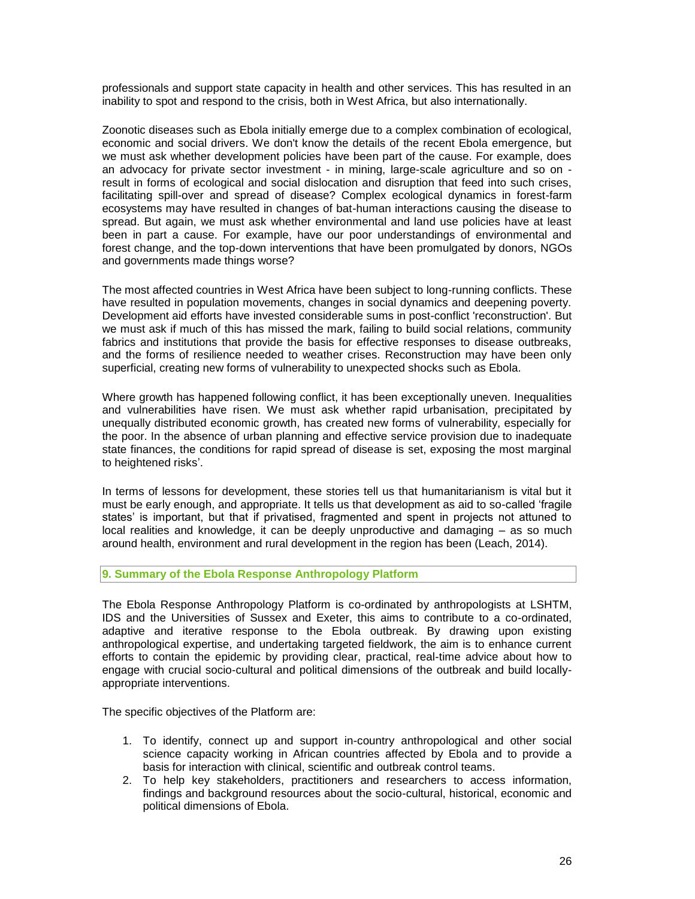professionals and support state capacity in health and other services. This has resulted in an inability to spot and respond to the crisis, both in West Africa, but also internationally.

Zoonotic diseases such as Ebola initially emerge due to [a complex combination of ecological,](http://steps-centre.org/project/drivers_of_disease/)  [economic and social drivers.](http://steps-centre.org/project/drivers_of_disease/) We don't know the details of the recent Ebola emergence, but we must ask whether development policies have been part of the cause. For example, does an advocacy for private sector investment - in mining, large-scale agriculture and so on result in forms of ecological and social dislocation and disruption that feed into such crises, facilitating spill-over and spread of disease? Complex ecological dynamics in forest-farm ecosystems may have resulted in changes of bat-human interactions causing the disease to spread. But again, we must ask whether environmental and land use policies have at least been in part a cause. For example, have our poor understandings of environmental and forest change, and the top-down interventions that have been promulgated by donors, NGOs and governments made things worse?

The most affected countries in West Africa have been subject to long-running conflicts. These have resulted in population movements, changes in social dynamics and deepening poverty. Development aid efforts have invested considerable sums in post-conflict 'reconstruction'. But we must ask if much of this has missed the mark, failing to build social relations, community fabrics and institutions that provide the basis for effective responses to disease outbreaks, and the forms of resilience needed to weather crises. Reconstruction may have been only superficial, creating new forms of vulnerability to unexpected shocks such as Ebola.

Where growth has happened following conflict, it has been exceptionally uneven. Inequalities and vulnerabilities have risen. We must ask whether rapid urbanisation, precipitated by unequally distributed economic growth, has created new forms of vulnerability, especially for the poor. In the absence of urban planning and effective service provision due to inadequate state finances, the conditions for rapid spread of disease is set, exposing the most marginal to heightened risks'.

In terms of lessons for development, these stories tell us that humanitarianism is vital but it must be early enough, and appropriate. It tells us that development as aid to so-called 'fragile states' is important, but that if privatised, fragmented and spent in projects not attuned to local realities and knowledge, it can be deeply unproductive and damaging – as so much around health, environment and rural development in the region has been (Leach, 2014).

# **9. Summary of the Ebola Response Anthropology Platform**

The Ebola Response Anthropology Platform is co-ordinated by anthropologists at LSHTM, IDS and the Universities of Sussex and Exeter, this aims to contribute to a co-ordinated, adaptive and iterative response to the Ebola outbreak. By drawing upon existing anthropological expertise, and undertaking targeted fieldwork, the aim is to enhance current efforts to contain the epidemic by providing clear, practical, real-time advice about how to engage with crucial socio-cultural and political dimensions of the outbreak and build locallyappropriate interventions.

The specific objectives of the Platform are:

- 1. To identify, connect up and support in-country anthropological and other social science capacity working in African countries affected by Ebola and to provide a basis for interaction with clinical, scientific and outbreak control teams.
- 2. To help key stakeholders, practitioners and researchers to access information, findings and background resources about the socio-cultural, historical, economic and political dimensions of Ebola.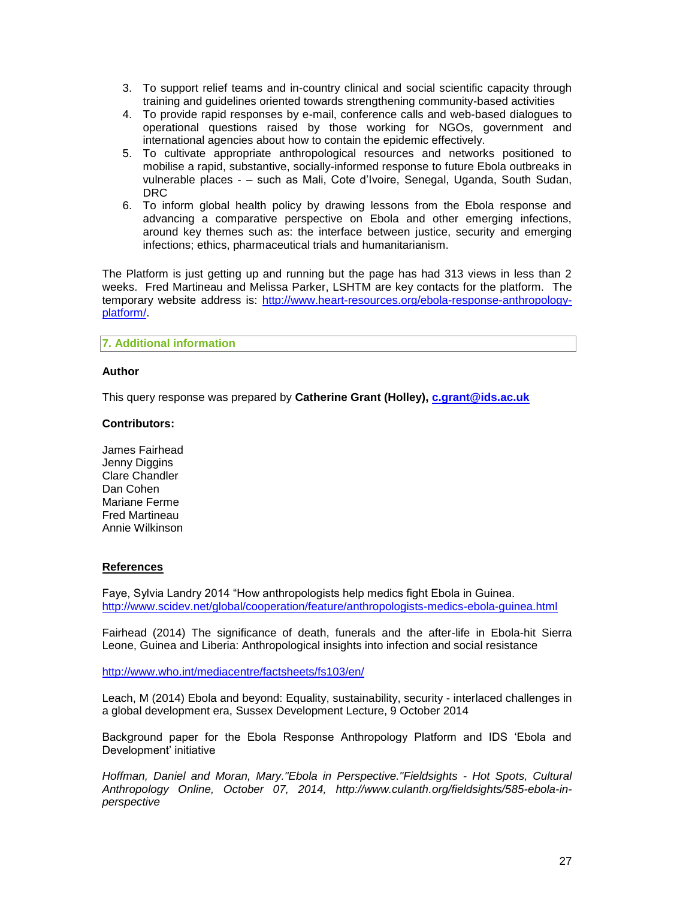- 3. To support relief teams and in-country clinical and social scientific capacity through training and guidelines oriented towards strengthening community-based activities
- 4. To provide rapid responses by e-mail, conference calls and web-based dialogues to operational questions raised by those working for NGOs, government and international agencies about how to contain the epidemic effectively.
- 5. To cultivate appropriate anthropological resources and networks positioned to mobilise a rapid, substantive, socially-informed response to future Ebola outbreaks in vulnerable places - – such as Mali, Cote d'Ivoire, Senegal, Uganda, South Sudan, DRC
- 6. To inform global health policy by drawing lessons from the Ebola response and advancing a comparative perspective on Ebola and other emerging infections, around key themes such as: the interface between justice, security and emerging infections; ethics, pharmaceutical trials and humanitarianism.

The Platform is just getting up and running but the page has had 313 views in less than 2 weeks. Fred Martineau and Melissa Parker, LSHTM are key contacts for the platform. The temporary website address is: [http://www.heart-resources.org/ebola-response-anthropology](http://www.heart-resources.org/ebola-response-anthropology-platform/)[platform/.](http://www.heart-resources.org/ebola-response-anthropology-platform/)

## **7. Additional information**

### **Author**

This query response was prepared by **Catherine Grant (Holley), [c.grant@ids.ac.uk](mailto:c.grant@ids.ac.uk)**

### **Contributors:**

James Fairhead Jenny Diggins Clare Chandler Dan Cohen Mariane Ferme Fred Martineau Annie Wilkinson

#### **References**

Faye, Sylvia Landry 2014 "How anthropologists help medics fight Ebola in Guinea. <http://www.scidev.net/global/cooperation/feature/anthropologists-medics-ebola-guinea.html>

Fairhead (2014) The significance of death, funerals and the after-life in Ebola-hit Sierra Leone, Guinea and Liberia: Anthropological insights into infection and social resistance

<http://www.who.int/mediacentre/factsheets/fs103/en/>

Leach, M (2014) Ebola and beyond: Equality, sustainability, security - interlaced challenges in a global development era, Sussex Development Lecture, 9 October 2014

Background paper for the Ebola Response Anthropology Platform and IDS 'Ebola and Development' initiative

*Hoffman, Daniel and Moran, Mary."Ebola in Perspective."Fieldsights - Hot Spots, Cultural Anthropology Online, October 07, 2014, http://www.culanth.org/fieldsights/585-ebola-inperspective*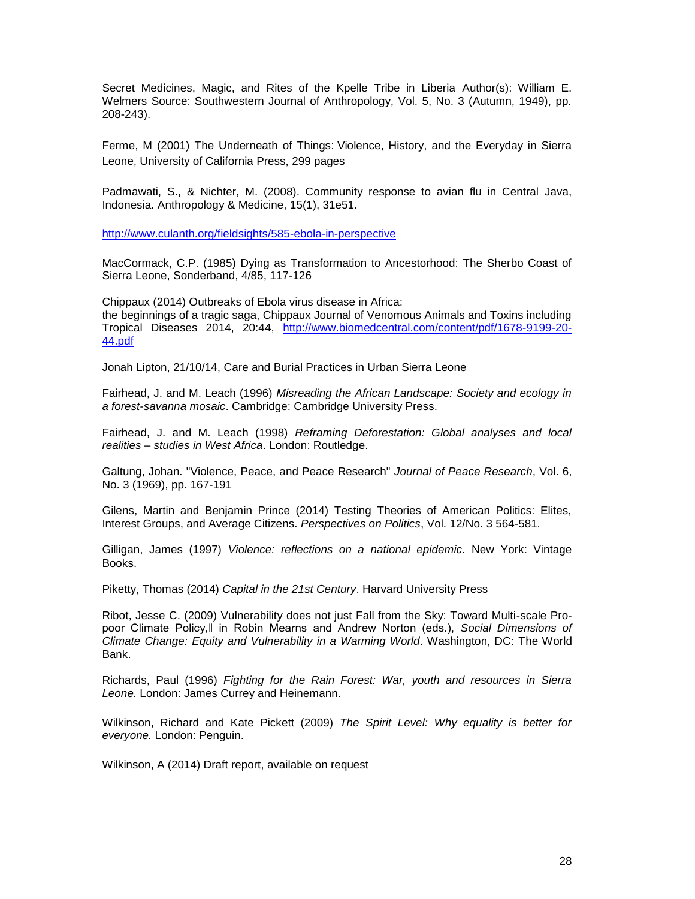Secret Medicines, Magic, and Rites of the Kpelle Tribe in Liberia Author(s): William E. Welmers Source: Southwestern Journal of Anthropology, Vol. 5, No. 3 (Autumn, 1949), pp. 208-243).

Ferme, M (2001) The Underneath of Things: Violence, History, and the Everyday in Sierra Leone, University of California Press, 299 pages

Padmawati, S., & Nichter, M. (2008). Community response to avian flu in Central Java, Indonesia. Anthropology & Medicine, 15(1), 31e51.

<http://www.culanth.org/fieldsights/585-ebola-in-perspective>

MacCormack, C.P. (1985) Dying as Transformation to Ancestorhood: The Sherbo Coast of Sierra Leone, Sonderband, 4/85, 117-126

Chippaux (2014) Outbreaks of Ebola virus disease in Africa: the beginnings of a tragic saga, Chippaux Journal of Venomous Animals and Toxins including Tropical Diseases 2014, 20:44, [http://www.biomedcentral.com/content/pdf/1678-9199-20-](http://www.biomedcentral.com/content/pdf/1678-9199-20-44.pdf) [44.pdf](http://www.biomedcentral.com/content/pdf/1678-9199-20-44.pdf)

Jonah Lipton, 21/10/14, Care and Burial Practices in Urban Sierra Leone

Fairhead, J. and M. Leach (1996) *Misreading the African Landscape: Society and ecology in a forest-savanna mosaic*. Cambridge: Cambridge University Press.

Fairhead, J. and M. Leach (1998) *Reframing Deforestation: Global analyses and local realities – studies in West Africa*. London: Routledge.

Galtung, Johan. "Violence, Peace, and Peace Research" *Journal of Peace Research*, Vol. 6, No. 3 (1969), pp. 167-191

Gilens, Martin and Benjamin Prince (2014) Testing Theories of American Politics: Elites, Interest Groups, and Average Citizens. *Perspectives on Politics*, Vol. 12/No. 3 564-581.

Gilligan, James (1997) *Violence: reflections on a national epidemic*. New York: Vintage Books.

Piketty, Thomas (2014) *Capital in the 21st Century*. Harvard University Press

Ribot, Jesse C. (2009) Vulnerability does not just Fall from the Sky: Toward Multi-scale Propoor Climate Policy,‖ in Robin Mearns and Andrew Norton (eds.), *Social Dimensions of Climate Change: Equity and Vulnerability in a Warming World*. Washington, DC: The World Bank.

Richards, Paul (1996) *Fighting for the Rain Forest: War, youth and resources in Sierra Leone.* London: James Currey and Heinemann.

Wilkinson, Richard and Kate Pickett (2009) *The Spirit Level: Why equality is better for everyone.* London: Penguin.

Wilkinson, A (2014) Draft report, available on request